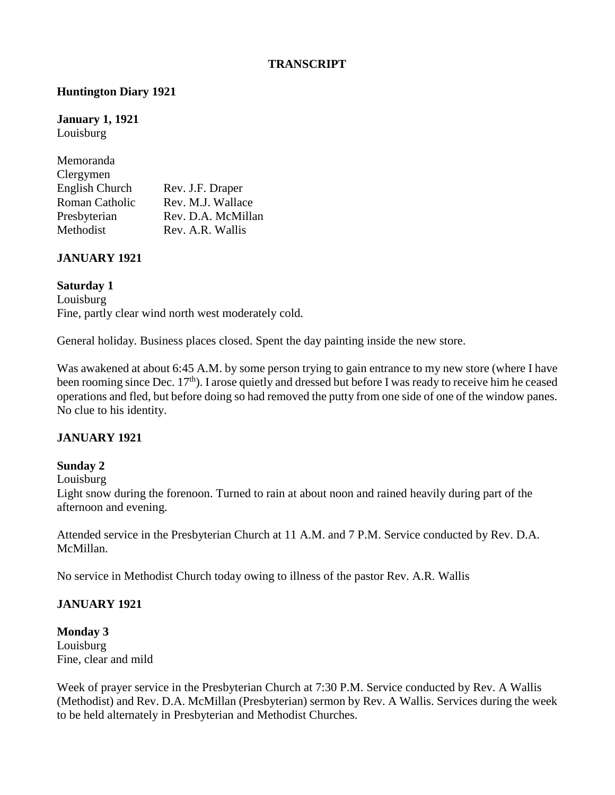#### **TRANSCRIPT**

### **Huntington Diary 1921**

**January 1, 1921** Louisburg

| Memoranda      |                    |
|----------------|--------------------|
| Clergymen      |                    |
| English Church | Rev. J.F. Draper   |
| Roman Catholic | Rev. M.J. Wallace  |
| Presbyterian   | Rev. D.A. McMillan |
| Methodist      | Rev. A.R. Wallis   |

#### **JANUARY 1921**

#### **Saturday 1**

Louisburg Fine, partly clear wind north west moderately cold.

General holiday. Business places closed. Spent the day painting inside the new store.

Was awakened at about 6:45 A.M. by some person trying to gain entrance to my new store (where I have been rooming since Dec. 17<sup>th</sup>). I arose quietly and dressed but before I was ready to receive him he ceased operations and fled, but before doing so had removed the putty from one side of one of the window panes. No clue to his identity.

#### **JANUARY 1921**

#### **Sunday 2**

Louisburg

Light snow during the forenoon. Turned to rain at about noon and rained heavily during part of the afternoon and evening.

Attended service in the Presbyterian Church at 11 A.M. and 7 P.M. Service conducted by Rev. D.A. McMillan.

No service in Methodist Church today owing to illness of the pastor Rev. A.R. Wallis

#### **JANUARY 1921**

**Monday 3** Louisburg Fine, clear and mild

Week of prayer service in the Presbyterian Church at 7:30 P.M. Service conducted by Rev. A Wallis (Methodist) and Rev. D.A. McMillan (Presbyterian) sermon by Rev. A Wallis. Services during the week to be held alternately in Presbyterian and Methodist Churches.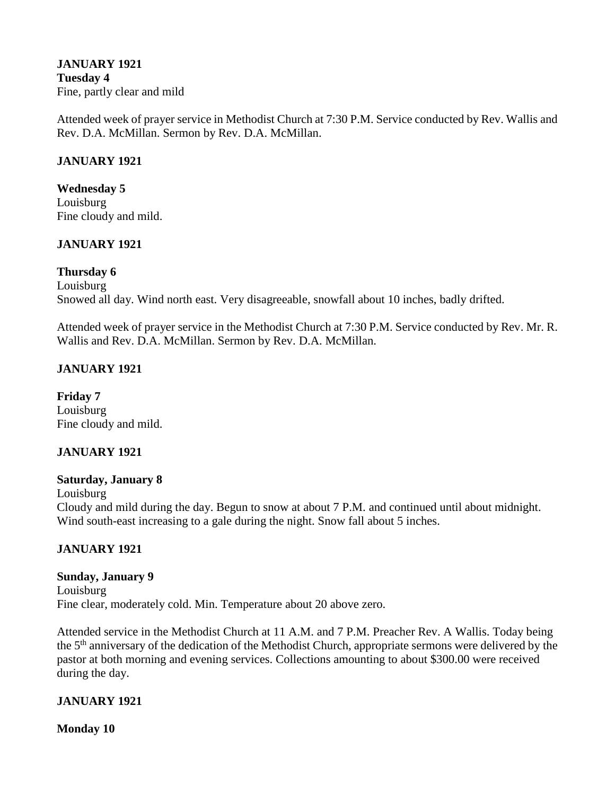#### **JANUARY 1921 Tuesday 4** Fine, partly clear and mild

Attended week of prayer service in Methodist Church at 7:30 P.M. Service conducted by Rev. Wallis and Rev. D.A. McMillan. Sermon by Rev. D.A. McMillan.

### **JANUARY 1921**

**Wednesday 5** Louisburg Fine cloudy and mild.

### **JANUARY 1921**

#### **Thursday 6**

Louisburg Snowed all day. Wind north east. Very disagreeable, snowfall about 10 inches, badly drifted.

Attended week of prayer service in the Methodist Church at 7:30 P.M. Service conducted by Rev. Mr. R. Wallis and Rev. D.A. McMillan. Sermon by Rev. D.A. McMillan.

#### **JANUARY 1921**

**Friday 7** Louisburg Fine cloudy and mild.

#### **JANUARY 1921**

#### **Saturday, January 8**

Louisburg

Cloudy and mild during the day. Begun to snow at about 7 P.M. and continued until about midnight. Wind south-east increasing to a gale during the night. Snow fall about 5 inches.

### **JANUARY 1921**

### **Sunday, January 9**

Louisburg Fine clear, moderately cold. Min. Temperature about 20 above zero.

Attended service in the Methodist Church at 11 A.M. and 7 P.M. Preacher Rev. A Wallis. Today being the 5th anniversary of the dedication of the Methodist Church, appropriate sermons were delivered by the pastor at both morning and evening services. Collections amounting to about \$300.00 were received during the day.

### **JANUARY 1921**

**Monday 10**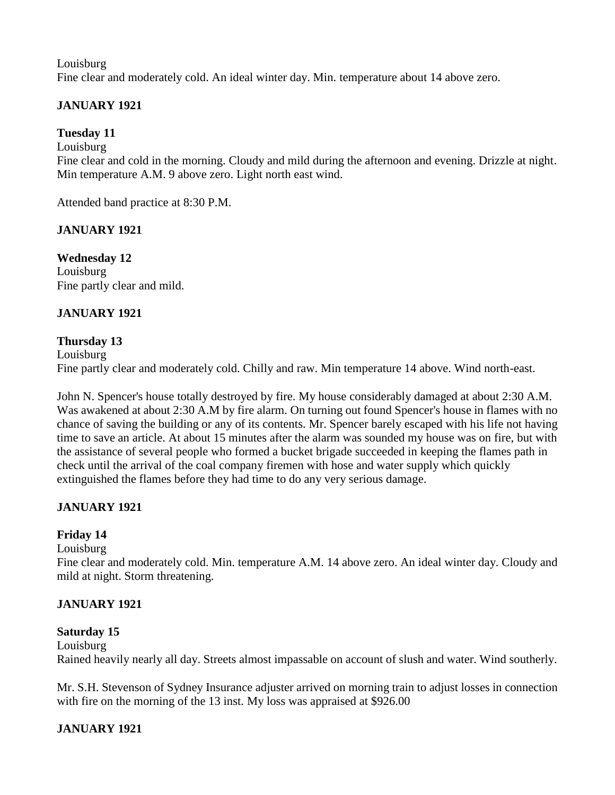Louisburg Fine clear and moderately cold. An ideal winter day. Min. temperature about 14 above zero.

# **JANUARY 1921**

### **Tuesday 11**

Louisburg

Fine clear and cold in the morning. Cloudy and mild during the afternoon and evening. Drizzle at night. Min temperature A.M. 9 above zero. Light north east wind.

Attended band practice at 8:30 P.M.

### **JANUARY 1921**

**Wednesday 12** Louisburg Fine partly clear and mild.

### **JANUARY 1921**

### **Thursday 13**

Louisburg Fine partly clear and moderately cold. Chilly and raw. Min temperature 14 above. Wind north-east.

John N. Spencer's house totally destroyed by fire. My house considerably damaged at about 2:30 A.M. Was awakened at about 2:30 A.M by fire alarm. On turning out found Spencer's house in flames with no chance of saving the building or any of its contents. Mr. Spencer barely escaped with his life not having time to save an article. At about 15 minutes after the alarm was sounded my house was on fire, but with the assistance of several people who formed a bucket brigade succeeded in keeping the flames path in check until the arrival of the coal company firemen with hose and water supply which quickly extinguished the flames before they had time to do any very serious damage.

# **JANUARY 1921**

### **Friday 14**

Louisburg

Fine clear and moderately cold. Min. temperature A.M. 14 above zero. An ideal winter day. Cloudy and mild at night. Storm threatening.

### **JANUARY 1921**

### **Saturday 15**

Louisburg Rained heavily nearly all day. Streets almost impassable on account of slush and water. Wind southerly.

Mr. S.H. Stevenson of Sydney Insurance adjuster arrived on morning train to adjust losses in connection with fire on the morning of the 13 inst. My loss was appraised at \$926.00

# **JANUARY 1921**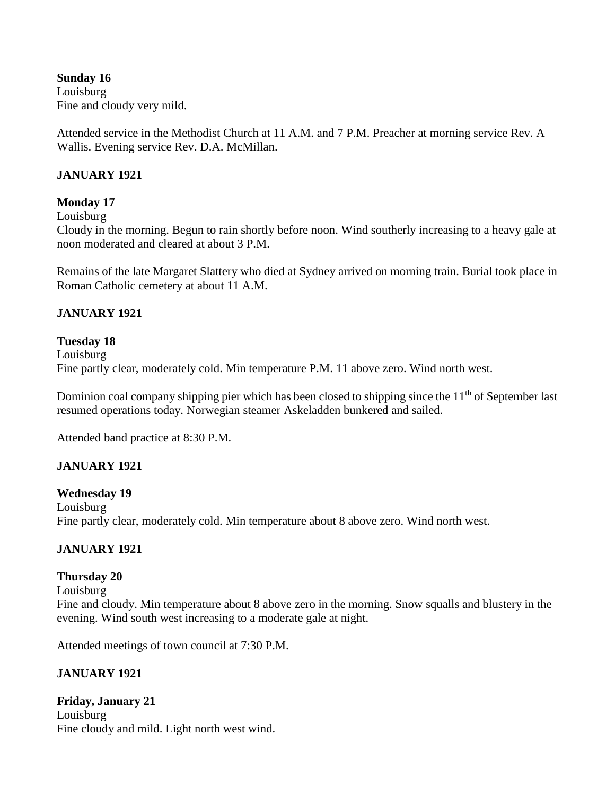**Sunday 16** Louisburg Fine and cloudy very mild.

Attended service in the Methodist Church at 11 A.M. and 7 P.M. Preacher at morning service Rev. A Wallis. Evening service Rev. D.A. McMillan.

### **JANUARY 1921**

### **Monday 17**

Louisburg

Cloudy in the morning. Begun to rain shortly before noon. Wind southerly increasing to a heavy gale at noon moderated and cleared at about 3 P.M.

Remains of the late Margaret Slattery who died at Sydney arrived on morning train. Burial took place in Roman Catholic cemetery at about 11 A.M.

### **JANUARY 1921**

#### **Tuesday 18**

Louisburg Fine partly clear, moderately cold. Min temperature P.M. 11 above zero. Wind north west.

Dominion coal company shipping pier which has been closed to shipping since the 11<sup>th</sup> of September last resumed operations today. Norwegian steamer Askeladden bunkered and sailed.

Attended band practice at 8:30 P.M.

# **JANUARY 1921**

**Wednesday 19** Louisburg Fine partly clear, moderately cold. Min temperature about 8 above zero. Wind north west.

### **JANUARY 1921**

### **Thursday 20**

Louisburg Fine and cloudy. Min temperature about 8 above zero in the morning. Snow squalls and blustery in the evening. Wind south west increasing to a moderate gale at night.

Attended meetings of town council at 7:30 P.M.

# **JANUARY 1921**

**Friday, January 21** Louisburg Fine cloudy and mild. Light north west wind.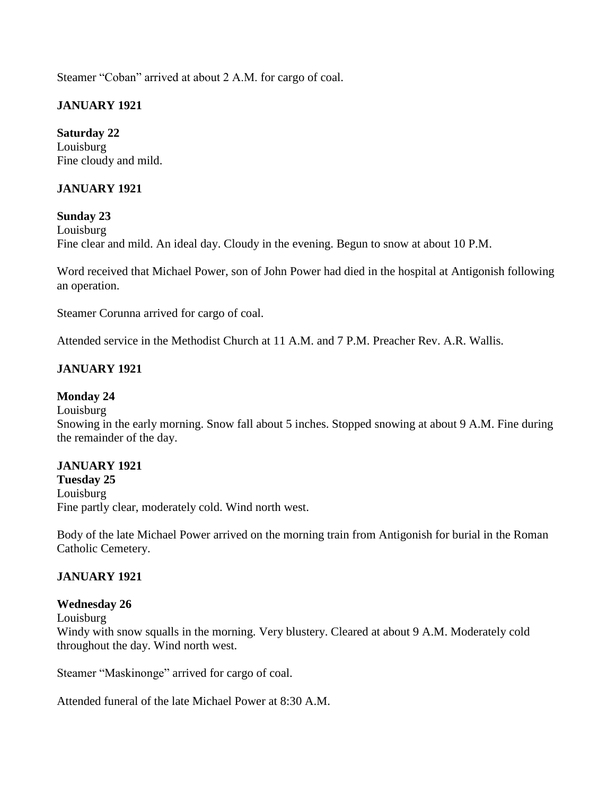Steamer "Coban" arrived at about 2 A.M. for cargo of coal.

# **JANUARY 1921**

**Saturday 22** Louisburg Fine cloudy and mild.

### **JANUARY 1921**

### **Sunday 23**

Louisburg Fine clear and mild. An ideal day. Cloudy in the evening. Begun to snow at about 10 P.M.

Word received that Michael Power, son of John Power had died in the hospital at Antigonish following an operation.

Steamer Corunna arrived for cargo of coal.

Attended service in the Methodist Church at 11 A.M. and 7 P.M. Preacher Rev. A.R. Wallis.

### **JANUARY 1921**

### **Monday 24**

#### Louisburg

Snowing in the early morning. Snow fall about 5 inches. Stopped snowing at about 9 A.M. Fine during the remainder of the day.

### **JANUARY 1921**

**Tuesday 25** Louisburg Fine partly clear, moderately cold. Wind north west.

Body of the late Michael Power arrived on the morning train from Antigonish for burial in the Roman Catholic Cemetery.

### **JANUARY 1921**

### **Wednesday 26**

Louisburg

Windy with snow squalls in the morning. Very blustery. Cleared at about 9 A.M. Moderately cold throughout the day. Wind north west.

Steamer "Maskinonge" arrived for cargo of coal.

Attended funeral of the late Michael Power at 8:30 A.M.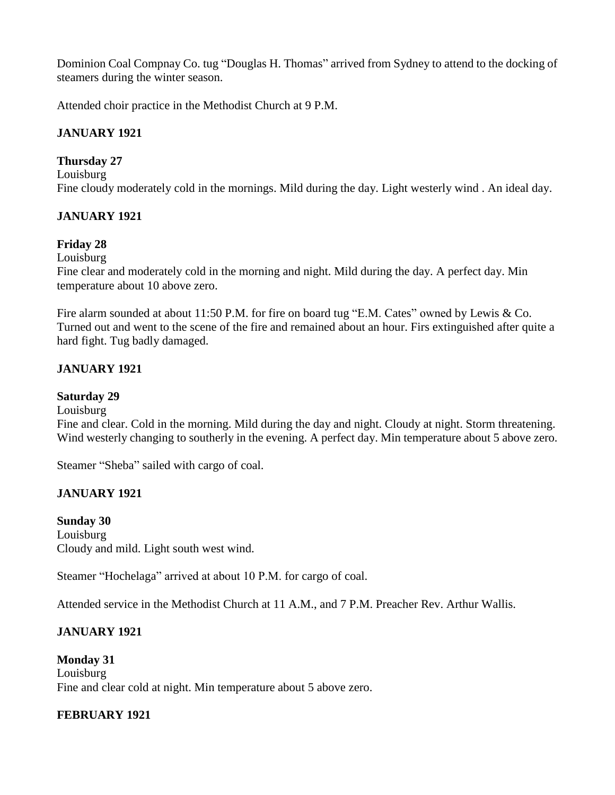Dominion Coal Compnay Co. tug "Douglas H. Thomas" arrived from Sydney to attend to the docking of steamers during the winter season.

Attended choir practice in the Methodist Church at 9 P.M.

### **JANUARY 1921**

### **Thursday 27**

Louisburg Fine cloudy moderately cold in the mornings. Mild during the day. Light westerly wind . An ideal day.

### **JANUARY 1921**

### **Friday 28**

Louisburg

Fine clear and moderately cold in the morning and night. Mild during the day. A perfect day. Min temperature about 10 above zero.

Fire alarm sounded at about 11:50 P.M. for fire on board tug "E.M. Cates" owned by Lewis & Co. Turned out and went to the scene of the fire and remained about an hour. Firs extinguished after quite a hard fight. Tug badly damaged.

### **JANUARY 1921**

### **Saturday 29**

Louisburg

Fine and clear. Cold in the morning. Mild during the day and night. Cloudy at night. Storm threatening. Wind westerly changing to southerly in the evening. A perfect day. Min temperature about 5 above zero.

Steamer "Sheba" sailed with cargo of coal.

### **JANUARY 1921**

**Sunday 30** Louisburg Cloudy and mild. Light south west wind.

Steamer "Hochelaga" arrived at about 10 P.M. for cargo of coal.

Attended service in the Methodist Church at 11 A.M., and 7 P.M. Preacher Rev. Arthur Wallis.

### **JANUARY 1921**

**Monday 31** Louisburg Fine and clear cold at night. Min temperature about 5 above zero.

### **FEBRUARY 1921**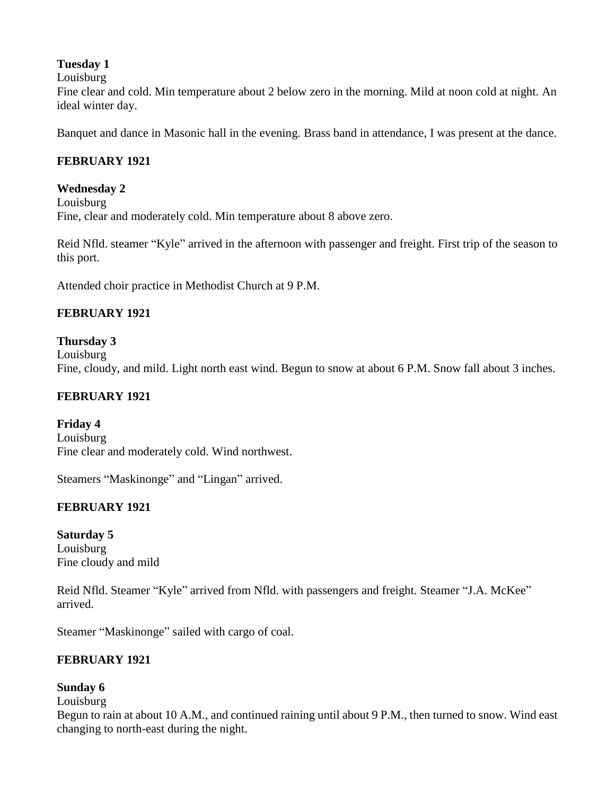### **Tuesday 1**

Louisburg

Fine clear and cold. Min temperature about 2 below zero in the morning. Mild at noon cold at night. An ideal winter day.

Banquet and dance in Masonic hall in the evening. Brass band in attendance, I was present at the dance.

# **FEBRUARY 1921**

### **Wednesday 2**

Louisburg Fine, clear and moderately cold. Min temperature about 8 above zero.

Reid Nfld. steamer "Kyle" arrived in the afternoon with passenger and freight. First trip of the season to this port.

Attended choir practice in Methodist Church at 9 P.M.

# **FEBRUARY 1921**

### **Thursday 3**

Louisburg Fine, cloudy, and mild. Light north east wind. Begun to snow at about 6 P.M. Snow fall about 3 inches.

# **FEBRUARY 1921**

**Friday 4** Louisburg Fine clear and moderately cold. Wind northwest.

Steamers "Maskinonge" and "Lingan" arrived.

# **FEBRUARY 1921**

**Saturday 5** Louisburg Fine cloudy and mild

Reid Nfld. Steamer "Kyle" arrived from Nfld. with passengers and freight. Steamer "J.A. McKee" arrived.

Steamer "Maskinonge" sailed with cargo of coal.

# **FEBRUARY 1921**

### **Sunday 6**

Louisburg

Begun to rain at about 10 A.M., and continued raining until about 9 P.M., then turned to snow. Wind east changing to north-east during the night.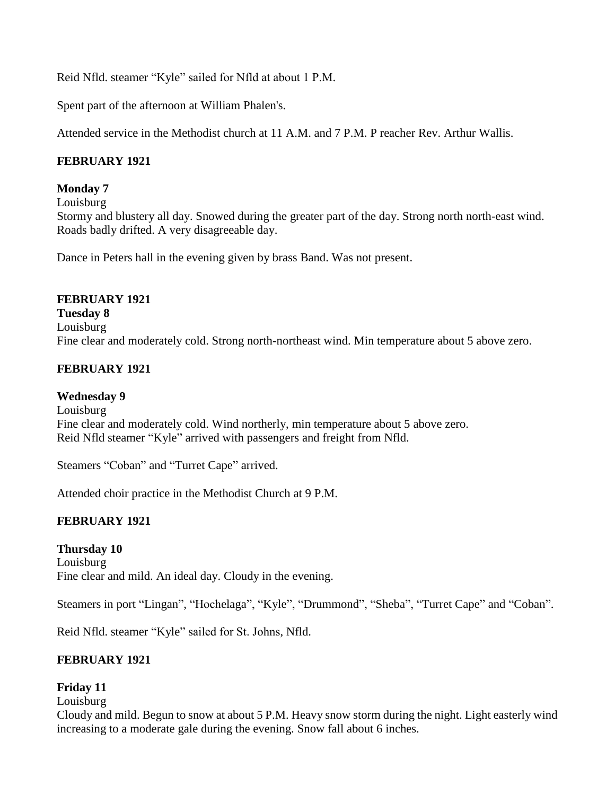Reid Nfld. steamer "Kyle" sailed for Nfld at about 1 P.M.

Spent part of the afternoon at William Phalen's.

Attended service in the Methodist church at 11 A.M. and 7 P.M. P reacher Rev. Arthur Wallis.

# **FEBRUARY 1921**

### **Monday 7**

Louisburg

Stormy and blustery all day. Snowed during the greater part of the day. Strong north north-east wind. Roads badly drifted. A very disagreeable day.

Dance in Peters hall in the evening given by brass Band. Was not present.

### **FEBRUARY 1921**

**Tuesday 8** Louisburg Fine clear and moderately cold. Strong north-northeast wind. Min temperature about 5 above zero.

### **FEBRUARY 1921**

#### **Wednesday 9**

Louisburg Fine clear and moderately cold. Wind northerly, min temperature about 5 above zero. Reid Nfld steamer "Kyle" arrived with passengers and freight from Nfld.

Steamers "Coban" and "Turret Cape" arrived.

Attended choir practice in the Methodist Church at 9 P.M.

# **FEBRUARY 1921**

### **Thursday 10**

Louisburg Fine clear and mild. An ideal day. Cloudy in the evening.

Steamers in port "Lingan", "Hochelaga", "Kyle", "Drummond", "Sheba", "Turret Cape" and "Coban".

Reid Nfld. steamer "Kyle" sailed for St. Johns, Nfld.

# **FEBRUARY 1921**

### **Friday 11**

Louisburg

Cloudy and mild. Begun to snow at about 5 P.M. Heavy snow storm during the night. Light easterly wind increasing to a moderate gale during the evening. Snow fall about 6 inches.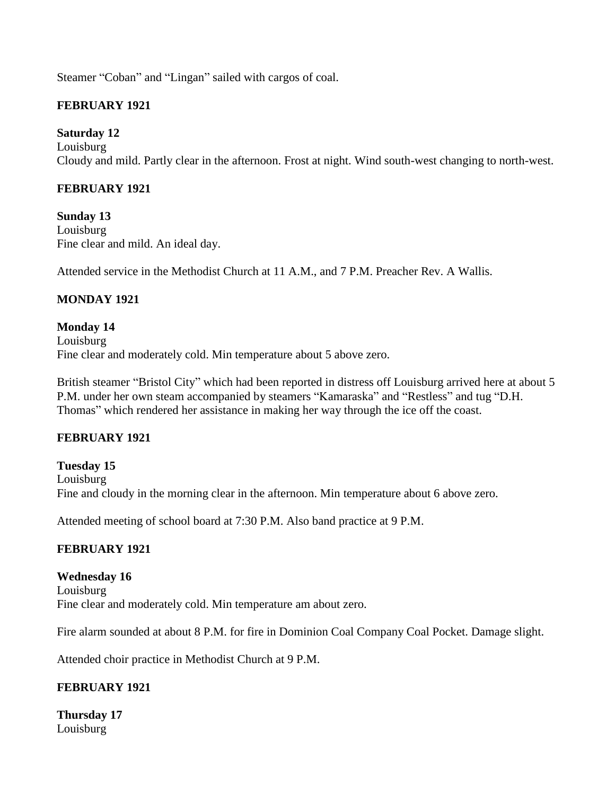Steamer "Coban" and "Lingan" sailed with cargos of coal.

### **FEBRUARY 1921**

### **Saturday 12**

Louisburg Cloudy and mild. Partly clear in the afternoon. Frost at night. Wind south-west changing to north-west.

### **FEBRUARY 1921**

**Sunday 13** Louisburg Fine clear and mild. An ideal day.

Attended service in the Methodist Church at 11 A.M., and 7 P.M. Preacher Rev. A Wallis.

### **MONDAY 1921**

**Monday 14** Louisburg Fine clear and moderately cold. Min temperature about 5 above zero.

British steamer "Bristol City" which had been reported in distress off Louisburg arrived here at about 5 P.M. under her own steam accompanied by steamers "Kamaraska" and "Restless" and tug "D.H. Thomas" which rendered her assistance in making her way through the ice off the coast.

### **FEBRUARY 1921**

**Tuesday 15** Louisburg Fine and cloudy in the morning clear in the afternoon. Min temperature about 6 above zero.

Attended meeting of school board at 7:30 P.M. Also band practice at 9 P.M.

# **FEBRUARY 1921**

**Wednesday 16** Louisburg Fine clear and moderately cold. Min temperature am about zero.

Fire alarm sounded at about 8 P.M. for fire in Dominion Coal Company Coal Pocket. Damage slight.

Attended choir practice in Methodist Church at 9 P.M.

# **FEBRUARY 1921**

**Thursday 17** Louisburg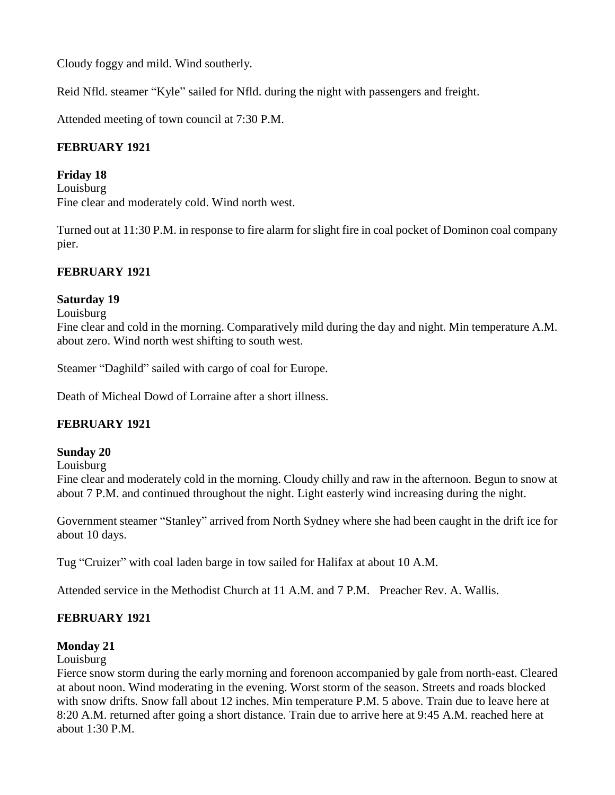Cloudy foggy and mild. Wind southerly.

Reid Nfld. steamer "Kyle" sailed for Nfld. during the night with passengers and freight.

Attended meeting of town council at 7:30 P.M.

# **FEBRUARY 1921**

### **Friday 18**

Louisburg Fine clear and moderately cold. Wind north west.

Turned out at 11:30 P.M. in response to fire alarm for slight fire in coal pocket of Dominon coal company pier.

# **FEBRUARY 1921**

# **Saturday 19**

Louisburg

Fine clear and cold in the morning. Comparatively mild during the day and night. Min temperature A.M. about zero. Wind north west shifting to south west.

Steamer "Daghild" sailed with cargo of coal for Europe.

Death of Micheal Dowd of Lorraine after a short illness.

# **FEBRUARY 1921**

### **Sunday 20**

Louisburg

Fine clear and moderately cold in the morning. Cloudy chilly and raw in the afternoon. Begun to snow at about 7 P.M. and continued throughout the night. Light easterly wind increasing during the night.

Government steamer "Stanley" arrived from North Sydney where she had been caught in the drift ice for about 10 days.

Tug "Cruizer" with coal laden barge in tow sailed for Halifax at about 10 A.M.

Attended service in the Methodist Church at 11 A.M. and 7 P.M. Preacher Rev. A. Wallis.

# **FEBRUARY 1921**

### **Monday 21**

#### Louisburg

Fierce snow storm during the early morning and forenoon accompanied by gale from north-east. Cleared at about noon. Wind moderating in the evening. Worst storm of the season. Streets and roads blocked with snow drifts. Snow fall about 12 inches. Min temperature P.M. 5 above. Train due to leave here at 8:20 A.M. returned after going a short distance. Train due to arrive here at 9:45 A.M. reached here at about 1:30 P.M.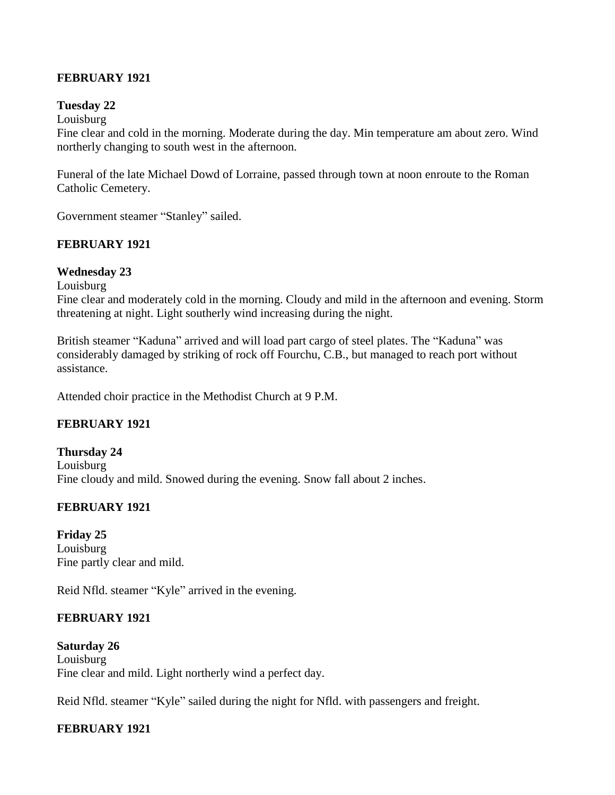### **FEBRUARY 1921**

#### **Tuesday 22**

#### Louisburg

Fine clear and cold in the morning. Moderate during the day. Min temperature am about zero. Wind northerly changing to south west in the afternoon.

Funeral of the late Michael Dowd of Lorraine, passed through town at noon enroute to the Roman Catholic Cemetery.

Government steamer "Stanley" sailed.

### **FEBRUARY 1921**

### **Wednesday 23**

Louisburg

Fine clear and moderately cold in the morning. Cloudy and mild in the afternoon and evening. Storm threatening at night. Light southerly wind increasing during the night.

British steamer "Kaduna" arrived and will load part cargo of steel plates. The "Kaduna" was considerably damaged by striking of rock off Fourchu, C.B., but managed to reach port without assistance.

Attended choir practice in the Methodist Church at 9 P.M.

# **FEBRUARY 1921**

#### **Thursday 24** Louisburg Fine cloudy and mild. Snowed during the evening. Snow fall about 2 inches.

# **FEBRUARY 1921**

**Friday 25** Louisburg Fine partly clear and mild.

Reid Nfld. steamer "Kyle" arrived in the evening.

### **FEBRUARY 1921**

**Saturday 26** Louisburg Fine clear and mild. Light northerly wind a perfect day.

Reid Nfld. steamer "Kyle" sailed during the night for Nfld. with passengers and freight.

# **FEBRUARY 1921**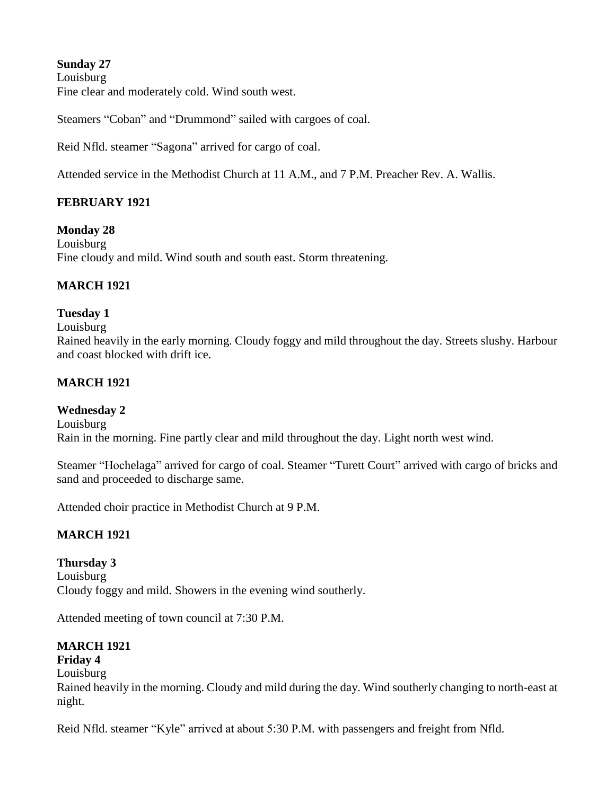**Sunday 27**  Louisburg Fine clear and moderately cold. Wind south west.

Steamers "Coban" and "Drummond" sailed with cargoes of coal.

Reid Nfld. steamer "Sagona" arrived for cargo of coal.

Attended service in the Methodist Church at 11 A.M., and 7 P.M. Preacher Rev. A. Wallis.

# **FEBRUARY 1921**

**Monday 28** Louisburg Fine cloudy and mild. Wind south and south east. Storm threatening.

# **MARCH 1921**

### **Tuesday 1**

#### Louisburg

Rained heavily in the early morning. Cloudy foggy and mild throughout the day. Streets slushy. Harbour and coast blocked with drift ice.

### **MARCH 1921**

### **Wednesday 2**

Louisburg Rain in the morning. Fine partly clear and mild throughout the day. Light north west wind.

Steamer "Hochelaga" arrived for cargo of coal. Steamer "Turett Court" arrived with cargo of bricks and sand and proceeded to discharge same.

Attended choir practice in Methodist Church at 9 P.M.

# **MARCH 1921**

**Thursday 3** Louisburg Cloudy foggy and mild. Showers in the evening wind southerly.

Attended meeting of town council at 7:30 P.M.

# **MARCH 1921**

# **Friday 4**

Louisburg

Rained heavily in the morning. Cloudy and mild during the day. Wind southerly changing to north-east at night.

Reid Nfld. steamer "Kyle" arrived at about 5:30 P.M. with passengers and freight from Nfld.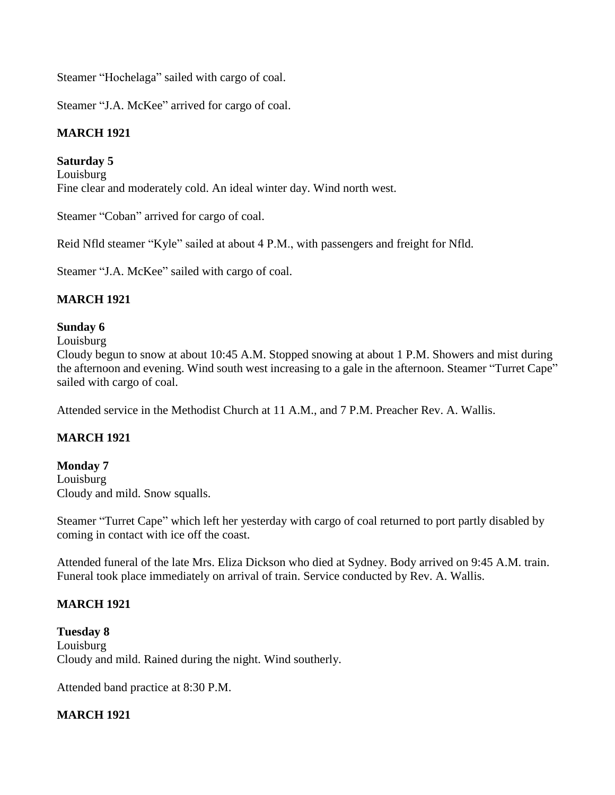Steamer "Hochelaga" sailed with cargo of coal.

Steamer "J.A. McKee" arrived for cargo of coal.

# **MARCH 1921**

### **Saturday 5**

Louisburg Fine clear and moderately cold. An ideal winter day. Wind north west.

Steamer "Coban" arrived for cargo of coal.

Reid Nfld steamer "Kyle" sailed at about 4 P.M., with passengers and freight for Nfld.

Steamer "J.A. McKee" sailed with cargo of coal.

# **MARCH 1921**

### **Sunday 6**

Louisburg

Cloudy begun to snow at about 10:45 A.M. Stopped snowing at about 1 P.M. Showers and mist during the afternoon and evening. Wind south west increasing to a gale in the afternoon. Steamer "Turret Cape" sailed with cargo of coal.

Attended service in the Methodist Church at 11 A.M., and 7 P.M. Preacher Rev. A. Wallis.

# **MARCH 1921**

#### **Monday 7** Louisburg Cloudy and mild. Snow squalls.

Steamer "Turret Cape" which left her yesterday with cargo of coal returned to port partly disabled by coming in contact with ice off the coast.

Attended funeral of the late Mrs. Eliza Dickson who died at Sydney. Body arrived on 9:45 A.M. train. Funeral took place immediately on arrival of train. Service conducted by Rev. A. Wallis.

# **MARCH 1921**

**Tuesday 8** Louisburg Cloudy and mild. Rained during the night. Wind southerly.

Attended band practice at 8:30 P.M.

# **MARCH 1921**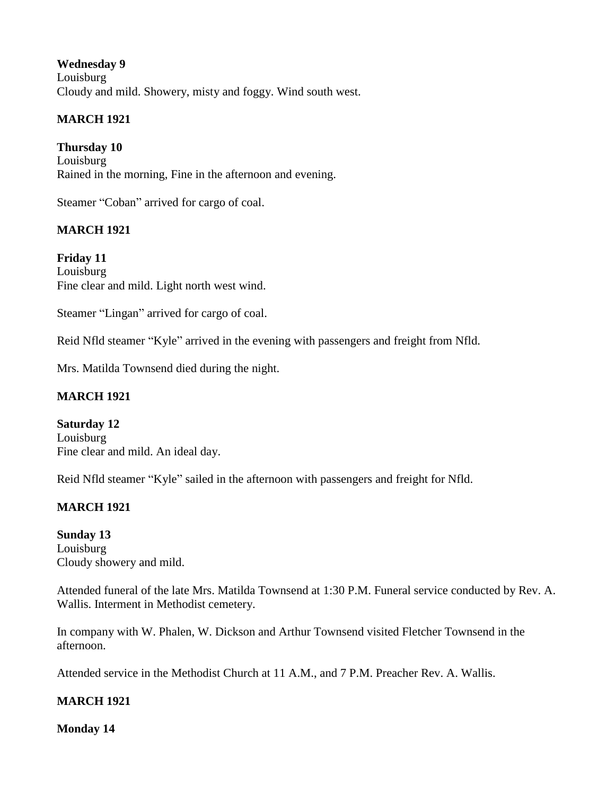**Wednesday 9** Louisburg Cloudy and mild. Showery, misty and foggy. Wind south west.

# **MARCH 1921**

**Thursday 10** Louisburg Rained in the morning, Fine in the afternoon and evening.

Steamer "Coban" arrived for cargo of coal.

# **MARCH 1921**

**Friday 11** Louisburg Fine clear and mild. Light north west wind.

Steamer "Lingan" arrived for cargo of coal.

Reid Nfld steamer "Kyle" arrived in the evening with passengers and freight from Nfld.

Mrs. Matilda Townsend died during the night.

# **MARCH 1921**

**Saturday 12** Louisburg Fine clear and mild. An ideal day.

Reid Nfld steamer "Kyle" sailed in the afternoon with passengers and freight for Nfld.

# **MARCH 1921**

**Sunday 13** Louisburg Cloudy showery and mild.

Attended funeral of the late Mrs. Matilda Townsend at 1:30 P.M. Funeral service conducted by Rev. A. Wallis. Interment in Methodist cemetery.

In company with W. Phalen, W. Dickson and Arthur Townsend visited Fletcher Townsend in the afternoon.

Attended service in the Methodist Church at 11 A.M., and 7 P.M. Preacher Rev. A. Wallis.

# **MARCH 1921**

**Monday 14**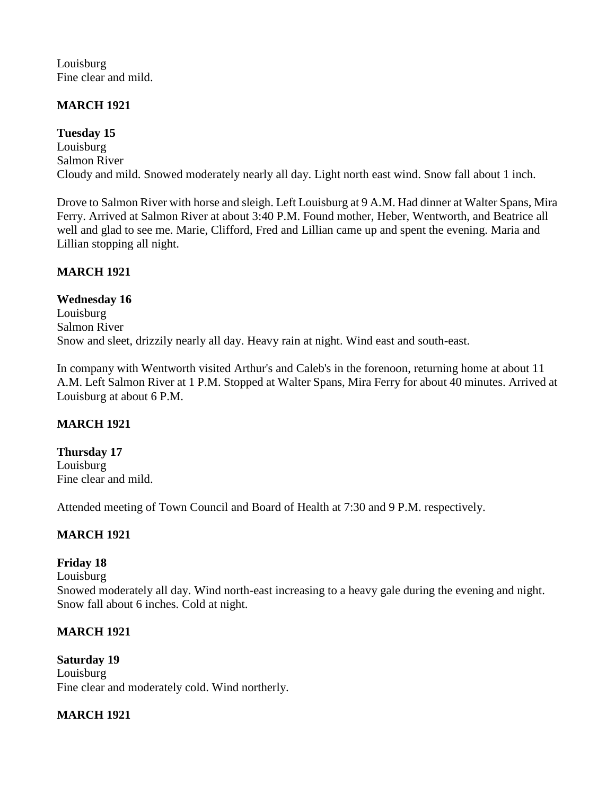Louisburg Fine clear and mild.

# **MARCH 1921**

**Tuesday 15** Louisburg Salmon River Cloudy and mild. Snowed moderately nearly all day. Light north east wind. Snow fall about 1 inch.

Drove to Salmon River with horse and sleigh. Left Louisburg at 9 A.M. Had dinner at Walter Spans, Mira Ferry. Arrived at Salmon River at about 3:40 P.M. Found mother, Heber, Wentworth, and Beatrice all well and glad to see me. Marie, Clifford, Fred and Lillian came up and spent the evening. Maria and Lillian stopping all night.

### **MARCH 1921**

**Wednesday 16** Louisburg Salmon River Snow and sleet, drizzily nearly all day. Heavy rain at night. Wind east and south-east.

In company with Wentworth visited Arthur's and Caleb's in the forenoon, returning home at about 11 A.M. Left Salmon River at 1 P.M. Stopped at Walter Spans, Mira Ferry for about 40 minutes. Arrived at Louisburg at about 6 P.M.

### **MARCH 1921**

**Thursday 17** Louisburg Fine clear and mild.

Attended meeting of Town Council and Board of Health at 7:30 and 9 P.M. respectively.

### **MARCH 1921**

# **Friday 18**

Louisburg

Snowed moderately all day. Wind north-east increasing to a heavy gale during the evening and night. Snow fall about 6 inches. Cold at night.

### **MARCH 1921**

**Saturday 19** Louisburg Fine clear and moderately cold. Wind northerly.

### **MARCH 1921**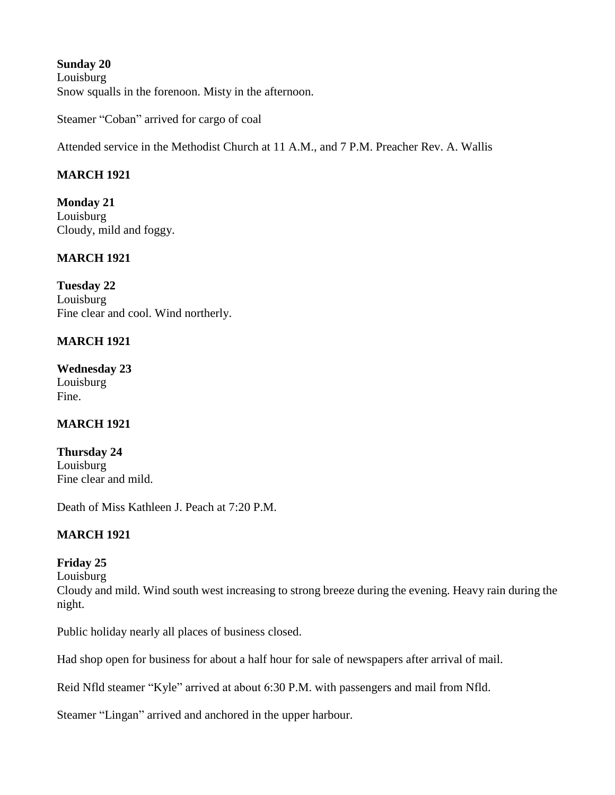**Sunday 20** Louisburg Snow squalls in the forenoon. Misty in the afternoon.

Steamer "Coban" arrived for cargo of coal

Attended service in the Methodist Church at 11 A.M., and 7 P.M. Preacher Rev. A. Wallis

# **MARCH 1921**

**Monday 21** Louisburg Cloudy, mild and foggy.

# **MARCH 1921**

**Tuesday 22** Louisburg Fine clear and cool. Wind northerly.

# **MARCH 1921**

**Wednesday 23** Louisburg Fine.

# **MARCH 1921**

**Thursday 24** Louisburg Fine clear and mild.

Death of Miss Kathleen J. Peach at 7:20 P.M.

# **MARCH 1921**

# **Friday 25**

Louisburg

Cloudy and mild. Wind south west increasing to strong breeze during the evening. Heavy rain during the night.

Public holiday nearly all places of business closed.

Had shop open for business for about a half hour for sale of newspapers after arrival of mail.

Reid Nfld steamer "Kyle" arrived at about 6:30 P.M. with passengers and mail from Nfld.

Steamer "Lingan" arrived and anchored in the upper harbour.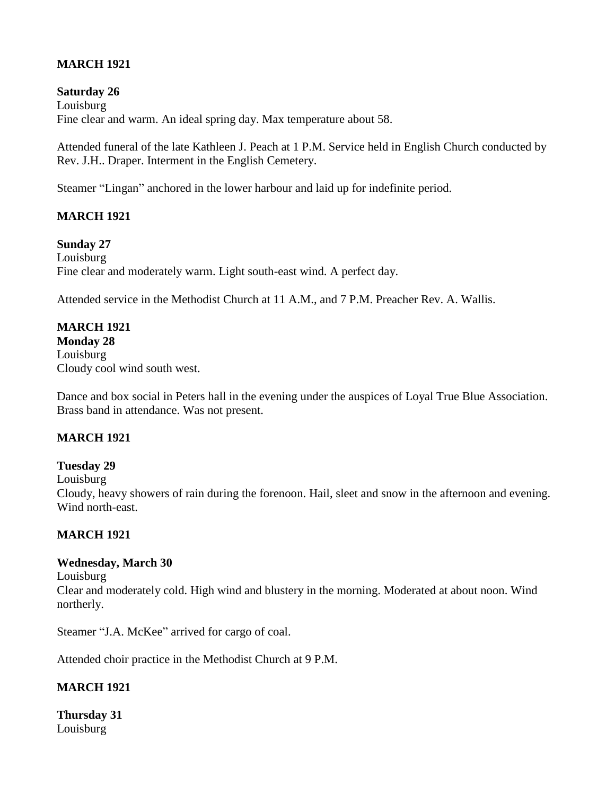# **MARCH 1921**

### **Saturday 26**

Louisburg Fine clear and warm. An ideal spring day. Max temperature about 58.

Attended funeral of the late Kathleen J. Peach at 1 P.M. Service held in English Church conducted by Rev. J.H.. Draper. Interment in the English Cemetery.

Steamer "Lingan" anchored in the lower harbour and laid up for indefinite period.

# **MARCH 1921**

#### **Sunday 27**

Louisburg Fine clear and moderately warm. Light south-east wind. A perfect day.

Attended service in the Methodist Church at 11 A.M., and 7 P.M. Preacher Rev. A. Wallis.

# **MARCH 1921**

**Monday 28** Louisburg Cloudy cool wind south west.

Dance and box social in Peters hall in the evening under the auspices of Loyal True Blue Association. Brass band in attendance. Was not present.

### **MARCH 1921**

### **Tuesday 29**

Louisburg

Cloudy, heavy showers of rain during the forenoon. Hail, sleet and snow in the afternoon and evening. Wind north-east.

### **MARCH 1921**

### **Wednesday, March 30**

Louisburg

Clear and moderately cold. High wind and blustery in the morning. Moderated at about noon. Wind northerly.

Steamer "J.A. McKee" arrived for cargo of coal.

Attended choir practice in the Methodist Church at 9 P.M.

# **MARCH 1921**

**Thursday 31** Louisburg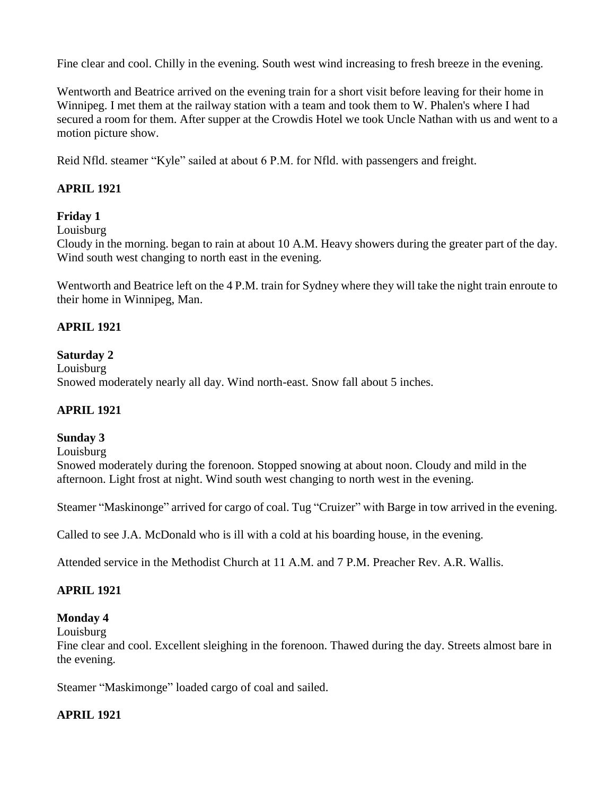Fine clear and cool. Chilly in the evening. South west wind increasing to fresh breeze in the evening.

Wentworth and Beatrice arrived on the evening train for a short visit before leaving for their home in Winnipeg. I met them at the railway station with a team and took them to W. Phalen's where I had secured a room for them. After supper at the Crowdis Hotel we took Uncle Nathan with us and went to a motion picture show.

Reid Nfld. steamer "Kyle" sailed at about 6 P.M. for Nfld. with passengers and freight.

# **APRIL 1921**

# **Friday 1**

Louisburg

Cloudy in the morning. began to rain at about 10 A.M. Heavy showers during the greater part of the day. Wind south west changing to north east in the evening.

Wentworth and Beatrice left on the 4 P.M. train for Sydney where they will take the night train enroute to their home in Winnipeg, Man.

### **APRIL 1921**

### **Saturday 2**

Louisburg Snowed moderately nearly all day. Wind north-east. Snow fall about 5 inches.

### **APRIL 1921**

### **Sunday 3**

Louisburg

Snowed moderately during the forenoon. Stopped snowing at about noon. Cloudy and mild in the afternoon. Light frost at night. Wind south west changing to north west in the evening.

Steamer "Maskinonge" arrived for cargo of coal. Tug "Cruizer" with Barge in tow arrived in the evening.

Called to see J.A. McDonald who is ill with a cold at his boarding house, in the evening.

Attended service in the Methodist Church at 11 A.M. and 7 P.M. Preacher Rev. A.R. Wallis.

# **APRIL 1921**

# **Monday 4**

Louisburg

Fine clear and cool. Excellent sleighing in the forenoon. Thawed during the day. Streets almost bare in the evening.

Steamer "Maskimonge" loaded cargo of coal and sailed.

# **APRIL 1921**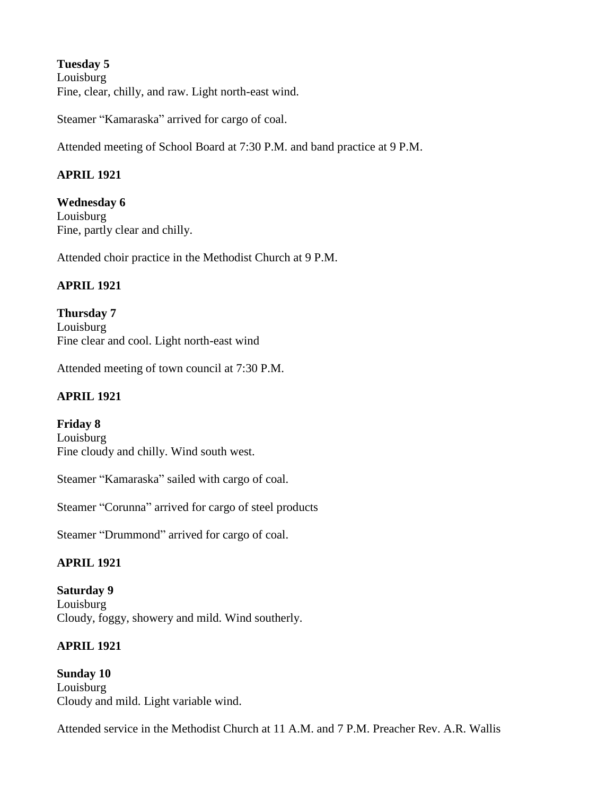**Tuesday 5** Louisburg Fine, clear, chilly, and raw. Light north-east wind.

Steamer "Kamaraska" arrived for cargo of coal.

Attended meeting of School Board at 7:30 P.M. and band practice at 9 P.M.

### **APRIL 1921**

**Wednesday 6** Louisburg Fine, partly clear and chilly.

Attended choir practice in the Methodist Church at 9 P.M.

#### **APRIL 1921**

**Thursday 7** Louisburg Fine clear and cool. Light north-east wind

Attended meeting of town council at 7:30 P.M.

#### **APRIL 1921**

**Friday 8** Louisburg Fine cloudy and chilly. Wind south west.

Steamer "Kamaraska" sailed with cargo of coal.

Steamer "Corunna" arrived for cargo of steel products

Steamer "Drummond" arrived for cargo of coal.

### **APRIL 1921**

**Saturday 9** Louisburg Cloudy, foggy, showery and mild. Wind southerly.

### **APRIL 1921**

**Sunday 10** Louisburg Cloudy and mild. Light variable wind.

Attended service in the Methodist Church at 11 A.M. and 7 P.M. Preacher Rev. A.R. Wallis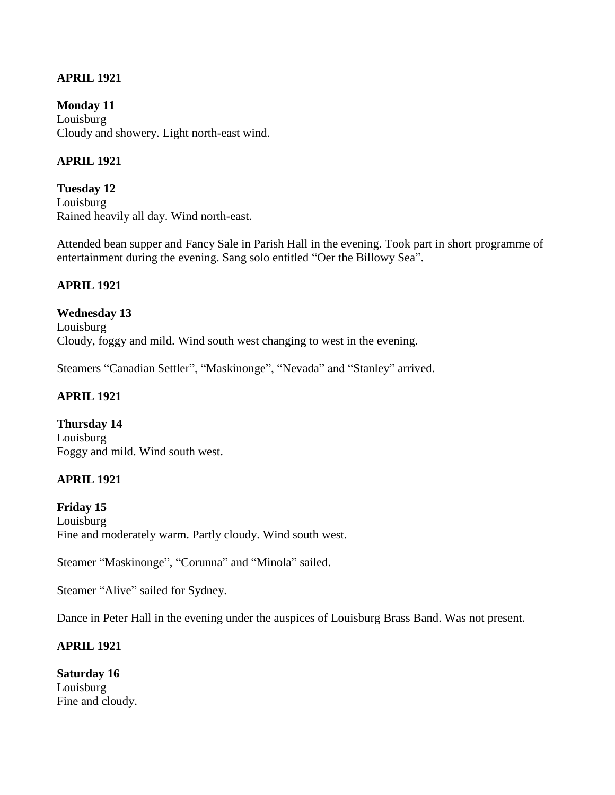### **APRIL 1921**

**Monday 11** Louisburg Cloudy and showery. Light north-east wind.

### **APRIL 1921**

**Tuesday 12** Louisburg Rained heavily all day. Wind north-east.

Attended bean supper and Fancy Sale in Parish Hall in the evening. Took part in short programme of entertainment during the evening. Sang solo entitled "Oer the Billowy Sea".

### **APRIL 1921**

**Wednesday 13** Louisburg Cloudy, foggy and mild. Wind south west changing to west in the evening.

Steamers "Canadian Settler", "Maskinonge", "Nevada" and "Stanley" arrived.

### **APRIL 1921**

**Thursday 14** Louisburg Foggy and mild. Wind south west.

### **APRIL 1921**

**Friday 15** Louisburg Fine and moderately warm. Partly cloudy. Wind south west.

Steamer "Maskinonge", "Corunna" and "Minola" sailed.

Steamer "Alive" sailed for Sydney.

Dance in Peter Hall in the evening under the auspices of Louisburg Brass Band. Was not present.

### **APRIL 1921**

**Saturday 16** Louisburg Fine and cloudy.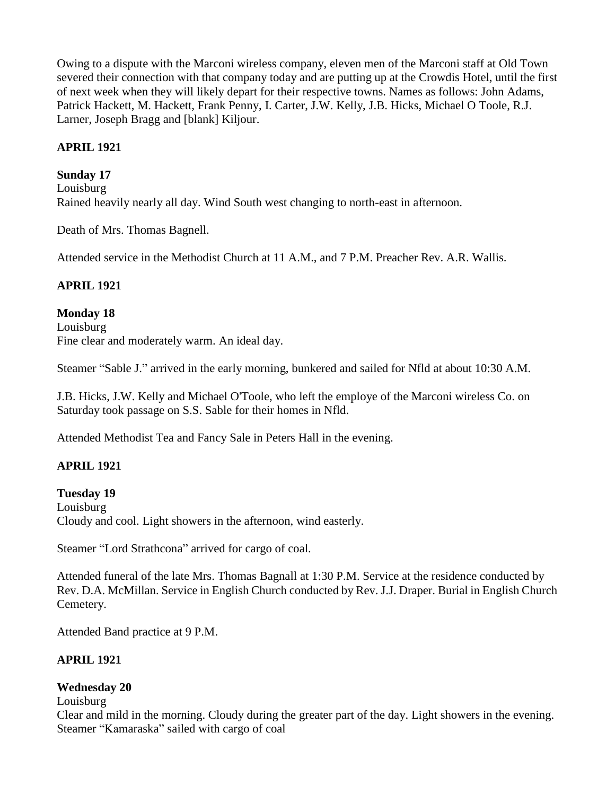Owing to a dispute with the Marconi wireless company, eleven men of the Marconi staff at Old Town severed their connection with that company today and are putting up at the Crowdis Hotel, until the first of next week when they will likely depart for their respective towns. Names as follows: John Adams, Patrick Hackett, M. Hackett, Frank Penny, I. Carter, J.W. Kelly, J.B. Hicks, Michael O Toole, R.J. Larner, Joseph Bragg and [blank] Kiljour.

### **APRIL 1921**

### **Sunday 17**

Louisburg Rained heavily nearly all day. Wind South west changing to north-east in afternoon.

Death of Mrs. Thomas Bagnell.

Attended service in the Methodist Church at 11 A.M., and 7 P.M. Preacher Rev. A.R. Wallis.

### **APRIL 1921**

### **Monday 18**

Louisburg Fine clear and moderately warm. An ideal day.

Steamer "Sable J." arrived in the early morning, bunkered and sailed for Nfld at about 10:30 A.M.

J.B. Hicks, J.W. Kelly and Michael O'Toole, who left the employe of the Marconi wireless Co. on Saturday took passage on S.S. Sable for their homes in Nfld.

Attended Methodist Tea and Fancy Sale in Peters Hall in the evening.

# **APRIL 1921**

**Tuesday 19** Louisburg Cloudy and cool. Light showers in the afternoon, wind easterly.

Steamer "Lord Strathcona" arrived for cargo of coal.

Attended funeral of the late Mrs. Thomas Bagnall at 1:30 P.M. Service at the residence conducted by Rev. D.A. McMillan. Service in English Church conducted by Rev. J.J. Draper. Burial in English Church Cemetery.

Attended Band practice at 9 P.M.

### **APRIL 1921**

### **Wednesday 20**

Louisburg

Clear and mild in the morning. Cloudy during the greater part of the day. Light showers in the evening. Steamer "Kamaraska" sailed with cargo of coal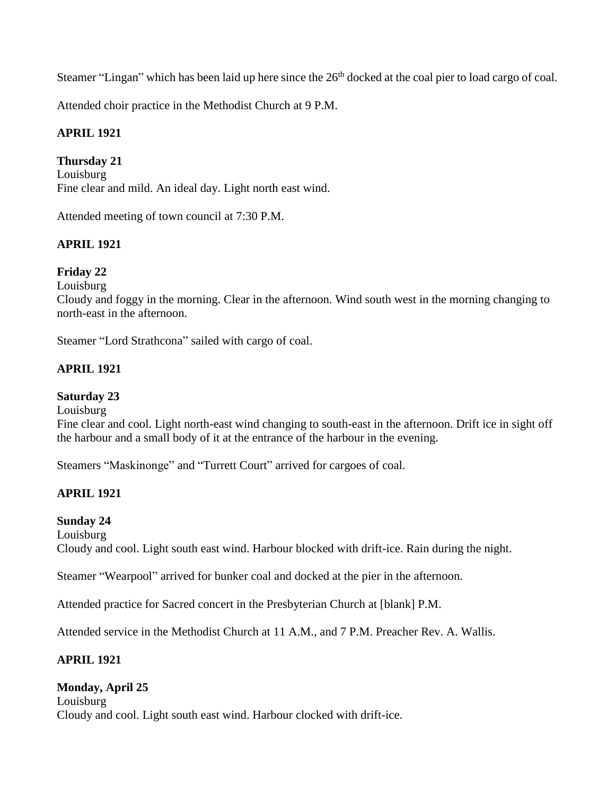Steamer "Lingan" which has been laid up here since the  $26<sup>th</sup>$  docked at the coal pier to load cargo of coal.

Attended choir practice in the Methodist Church at 9 P.M.

# **APRIL 1921**

### **Thursday 21**

Louisburg Fine clear and mild. An ideal day. Light north east wind.

Attended meeting of town council at 7:30 P.M.

# **APRIL 1921**

# **Friday 22**

Louisburg

Cloudy and foggy in the morning. Clear in the afternoon. Wind south west in the morning changing to north-east in the afternoon.

Steamer "Lord Strathcona" sailed with cargo of coal.

### **APRIL 1921**

### **Saturday 23**

Louisburg

Fine clear and cool. Light north-east wind changing to south-east in the afternoon. Drift ice in sight off the harbour and a small body of it at the entrance of the harbour in the evening.

Steamers "Maskinonge" and "Turrett Court" arrived for cargoes of coal.

# **APRIL 1921**

# **Sunday 24**

Louisburg Cloudy and cool. Light south east wind. Harbour blocked with drift-ice. Rain during the night.

Steamer "Wearpool" arrived for bunker coal and docked at the pier in the afternoon.

Attended practice for Sacred concert in the Presbyterian Church at [blank] P.M.

Attended service in the Methodist Church at 11 A.M., and 7 P.M. Preacher Rev. A. Wallis.

# **APRIL 1921**

# **Monday, April 25**

Louisburg Cloudy and cool. Light south east wind. Harbour clocked with drift-ice.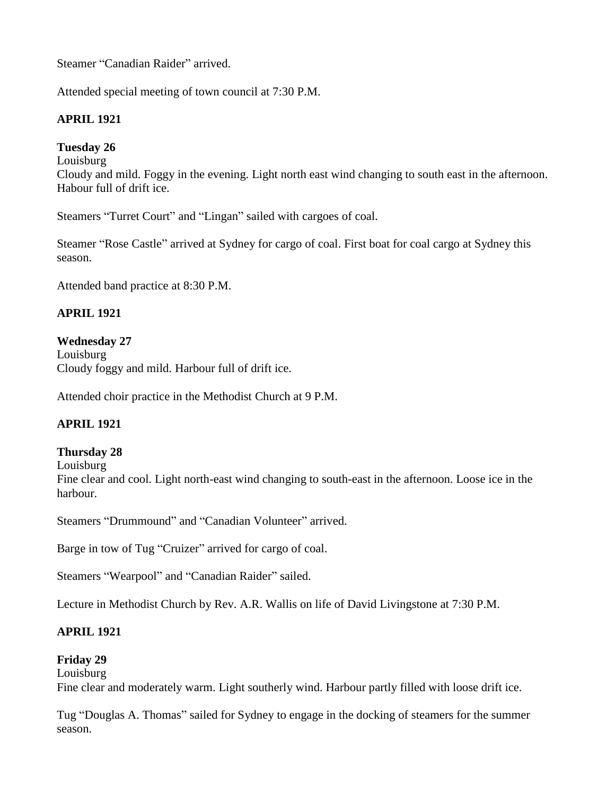Steamer "Canadian Raider" arrived.

Attended special meeting of town council at 7:30 P.M.

### **APRIL 1921**

### **Tuesday 26**

Louisburg

Cloudy and mild. Foggy in the evening. Light north east wind changing to south east in the afternoon. Habour full of drift ice.

Steamers "Turret Court" and "Lingan" sailed with cargoes of coal.

Steamer "Rose Castle" arrived at Sydney for cargo of coal. First boat for coal cargo at Sydney this season.

Attended band practice at 8:30 P.M.

### **APRIL 1921**

#### **Wednesday 27**

Louisburg Cloudy foggy and mild. Harbour full of drift ice.

Attended choir practice in the Methodist Church at 9 P.M.

### **APRIL 1921**

#### **Thursday 28**

Louisburg

Fine clear and cool. Light north-east wind changing to south-east in the afternoon. Loose ice in the harbour.

Steamers "Drummound" and "Canadian Volunteer" arrived.

Barge in tow of Tug "Cruizer" arrived for cargo of coal.

Steamers "Wearpool" and "Canadian Raider" sailed.

Lecture in Methodist Church by Rev. A.R. Wallis on life of David Livingstone at 7:30 P.M.

### **APRIL 1921**

### **Friday 29**

Louisburg

Fine clear and moderately warm. Light southerly wind. Harbour partly filled with loose drift ice.

Tug "Douglas A. Thomas" sailed for Sydney to engage in the docking of steamers for the summer season.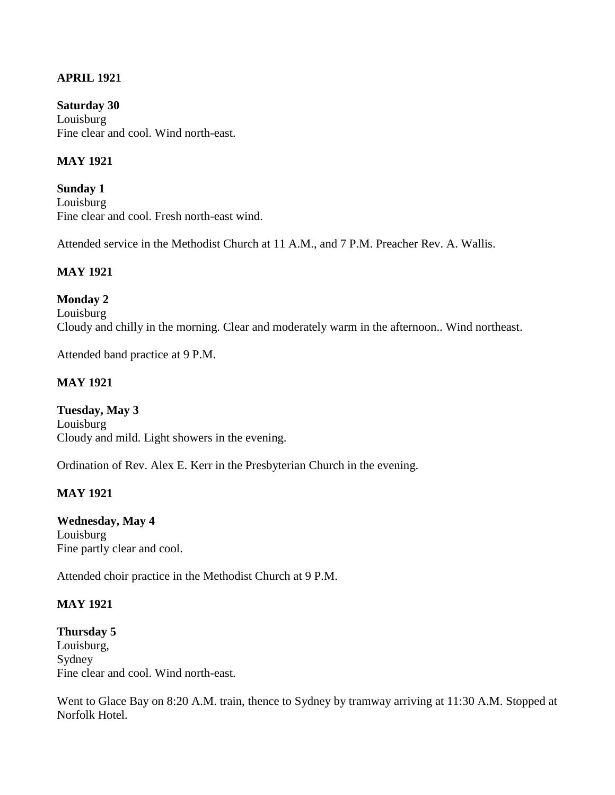### **APRIL 1921**

**Saturday 30** Louisburg Fine clear and cool. Wind north-east.

### **MAY 1921**

**Sunday 1** Louisburg Fine clear and cool. Fresh north-east wind.

Attended service in the Methodist Church at 11 A.M., and 7 P.M. Preacher Rev. A. Wallis.

### **MAY 1921**

**Monday 2** Louisburg Cloudy and chilly in the morning. Clear and moderately warm in the afternoon.. Wind northeast.

Attended band practice at 9 P.M.

### **MAY 1921**

**Tuesday, May 3** Louisburg Cloudy and mild. Light showers in the evening.

Ordination of Rev. Alex E. Kerr in the Presbyterian Church in the evening.

### **MAY 1921**

**Wednesday, May 4** Louisburg Fine partly clear and cool.

Attended choir practice in the Methodist Church at 9 P.M.

### **MAY 1921**

**Thursday 5** Louisburg, Sydney Fine clear and cool. Wind north-east.

Went to Glace Bay on 8:20 A.M. train, thence to Sydney by tramway arriving at 11:30 A.M. Stopped at Norfolk Hotel.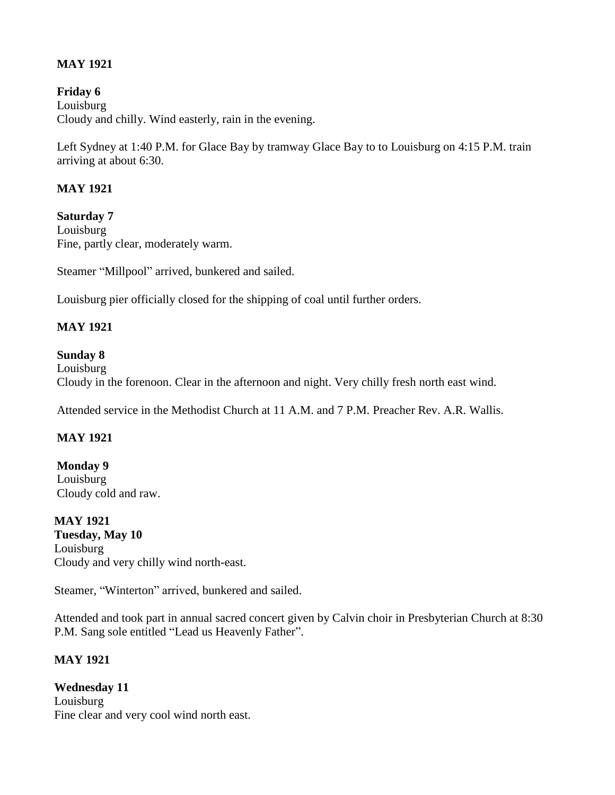### **MAY 1921**

**Friday 6** Louisburg Cloudy and chilly. Wind easterly, rain in the evening.

Left Sydney at 1:40 P.M. for Glace Bay by tramway Glace Bay to to Louisburg on 4:15 P.M. train arriving at about 6:30.

### **MAY 1921**

**Saturday 7** Louisburg Fine, partly clear, moderately warm.

Steamer "Millpool" arrived, bunkered and sailed.

Louisburg pier officially closed for the shipping of coal until further orders.

### **MAY 1921**

### **Sunday 8**

Louisburg Cloudy in the forenoon. Clear in the afternoon and night. Very chilly fresh north east wind.

Attended service in the Methodist Church at 11 A.M. and 7 P.M. Preacher Rev. A.R. Wallis.

# **MAY 1921**

**Monday 9** Louisburg Cloudy cold and raw.

**MAY 1921 Tuesday, May 10** Louisburg Cloudy and very chilly wind north-east.

Steamer, "Winterton" arrived, bunkered and sailed.

Attended and took part in annual sacred concert given by Calvin choir in Presbyterian Church at 8:30 P.M. Sang sole entitled "Lead us Heavenly Father".

### **MAY 1921**

**Wednesday 11** Louisburg Fine clear and very cool wind north east.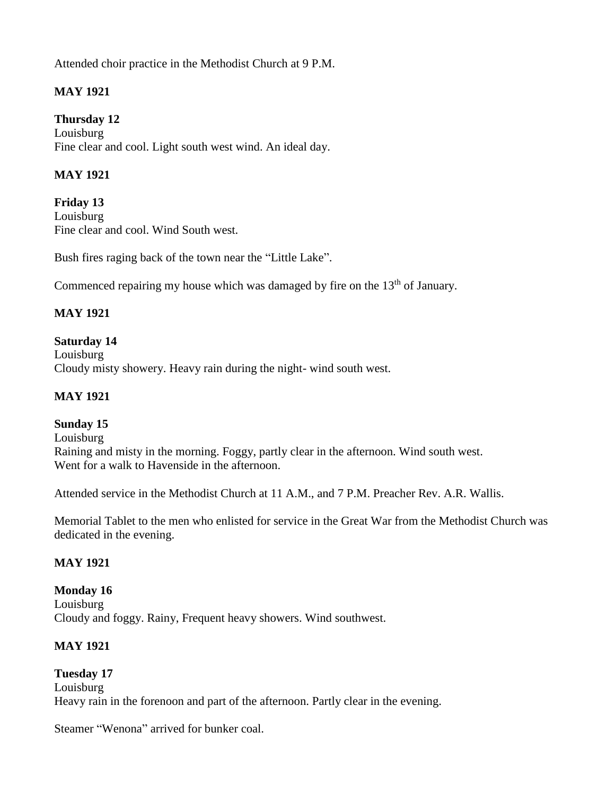Attended choir practice in the Methodist Church at 9 P.M.

# **MAY 1921**

### **Thursday 12**

Louisburg Fine clear and cool. Light south west wind. An ideal day.

### **MAY 1921**

**Friday 13** Louisburg Fine clear and cool. Wind South west.

Bush fires raging back of the town near the "Little Lake".

Commenced repairing my house which was damaged by fire on the 13<sup>th</sup> of January.

### **MAY 1921**

### **Saturday 14**

Louisburg Cloudy misty showery. Heavy rain during the night- wind south west.

#### **MAY 1921**

#### **Sunday 15**

Louisburg Raining and misty in the morning. Foggy, partly clear in the afternoon. Wind south west. Went for a walk to Havenside in the afternoon.

Attended service in the Methodist Church at 11 A.M., and 7 P.M. Preacher Rev. A.R. Wallis.

Memorial Tablet to the men who enlisted for service in the Great War from the Methodist Church was dedicated in the evening.

### **MAY 1921**

**Monday 16** Louisburg Cloudy and foggy. Rainy, Frequent heavy showers. Wind southwest.

### **MAY 1921**

**Tuesday 17** Louisburg Heavy rain in the forenoon and part of the afternoon. Partly clear in the evening.

Steamer "Wenona" arrived for bunker coal.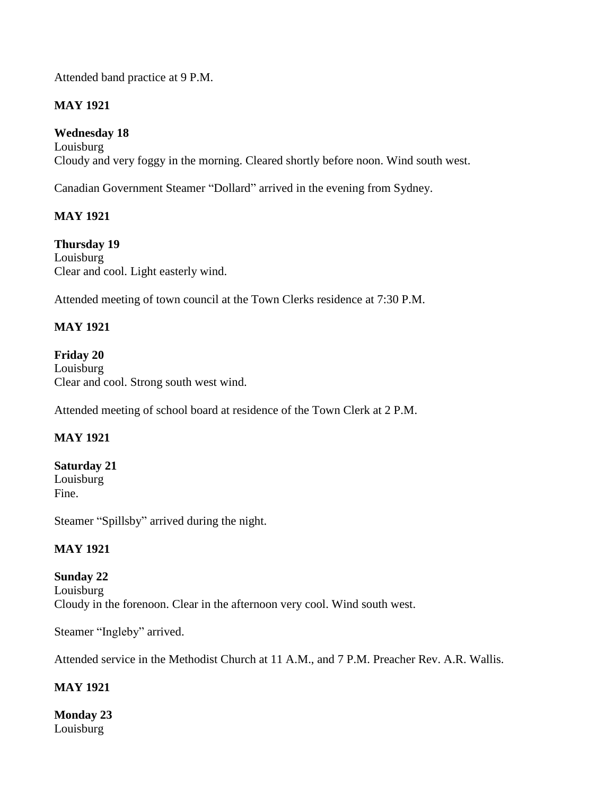Attended band practice at 9 P.M.

# **MAY 1921**

**Wednesday 18** Louisburg Cloudy and very foggy in the morning. Cleared shortly before noon. Wind south west.

Canadian Government Steamer "Dollard" arrived in the evening from Sydney.

# **MAY 1921**

**Thursday 19** Louisburg Clear and cool. Light easterly wind.

Attended meeting of town council at the Town Clerks residence at 7:30 P.M.

# **MAY 1921**

**Friday 20**  Louisburg Clear and cool. Strong south west wind.

Attended meeting of school board at residence of the Town Clerk at 2 P.M.

# **MAY 1921**

# **Saturday 21**

Louisburg Fine.

Steamer "Spillsby" arrived during the night.

### **MAY 1921**

### **Sunday 22**

Louisburg Cloudy in the forenoon. Clear in the afternoon very cool. Wind south west.

Steamer "Ingleby" arrived.

Attended service in the Methodist Church at 11 A.M., and 7 P.M. Preacher Rev. A.R. Wallis.

# **MAY 1921**

**Monday 23** Louisburg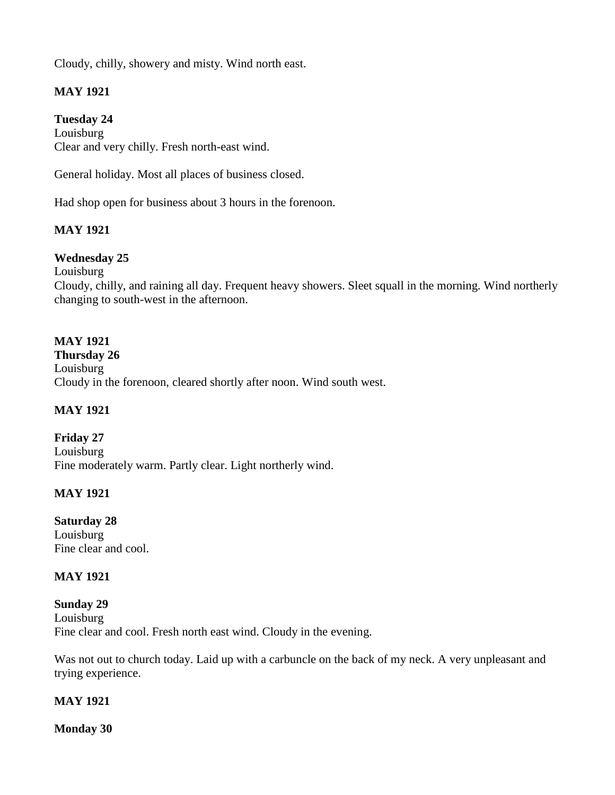Cloudy, chilly, showery and misty. Wind north east.

### **MAY 1921**

#### **Tuesday 24**

Louisburg Clear and very chilly. Fresh north-east wind.

General holiday. Most all places of business closed.

Had shop open for business about 3 hours in the forenoon.

### **MAY 1921**

#### **Wednesday 25**

Louisburg

Cloudy, chilly, and raining all day. Frequent heavy showers. Sleet squall in the morning. Wind northerly changing to south-west in the afternoon.

#### **MAY 1921**

**Thursday 26** Louisburg Cloudy in the forenoon, cleared shortly after noon. Wind south west.

#### **MAY 1921**

**Friday 27** Louisburg Fine moderately warm. Partly clear. Light northerly wind.

#### **MAY 1921**

**Saturday 28** Louisburg Fine clear and cool.

#### **MAY 1921**

**Sunday 29** Louisburg Fine clear and cool. Fresh north east wind. Cloudy in the evening.

Was not out to church today. Laid up with a carbuncle on the back of my neck. A very unpleasant and trying experience.

### **MAY 1921**

**Monday 30**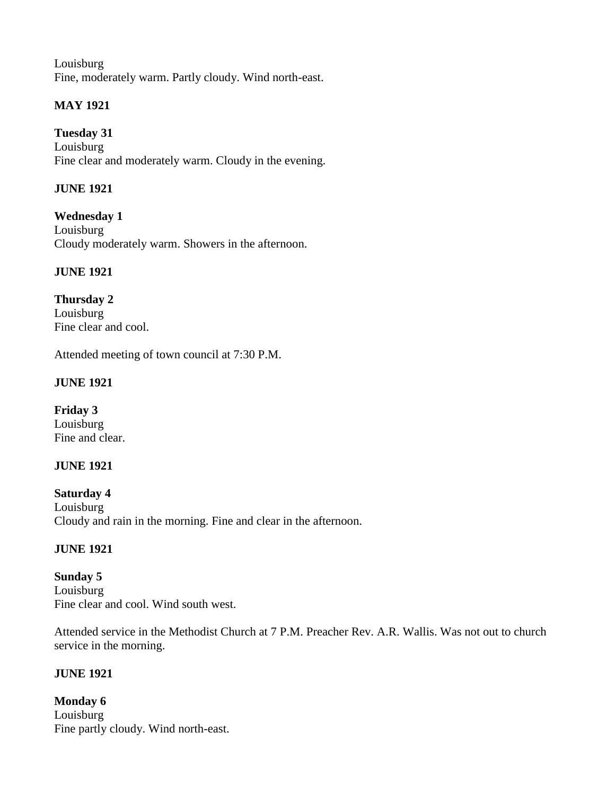Louisburg Fine, moderately warm. Partly cloudy. Wind north-east.

# **MAY 1921**

**Tuesday 31** Louisburg Fine clear and moderately warm. Cloudy in the evening.

### **JUNE 1921**

**Wednesday 1** Louisburg Cloudy moderately warm. Showers in the afternoon.

# **JUNE 1921**

**Thursday 2** Louisburg Fine clear and cool.

Attended meeting of town council at 7:30 P.M.

### **JUNE 1921**

**Friday 3** Louisburg Fine and clear.

# **JUNE 1921**

**Saturday 4** Louisburg Cloudy and rain in the morning. Fine and clear in the afternoon.

### **JUNE 1921**

**Sunday 5** Louisburg Fine clear and cool. Wind south west.

Attended service in the Methodist Church at 7 P.M. Preacher Rev. A.R. Wallis. Was not out to church service in the morning.

# **JUNE 1921**

**Monday 6** Louisburg Fine partly cloudy. Wind north-east.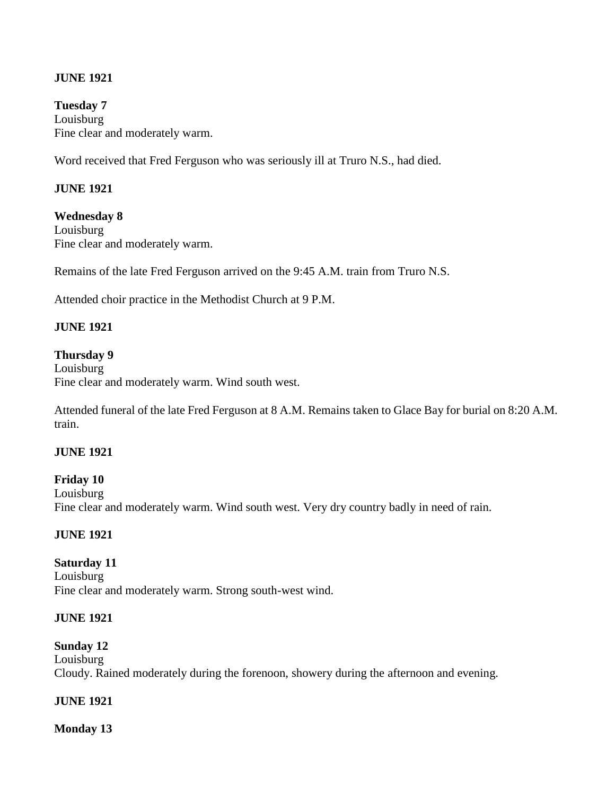#### **JUNE 1921**

**Tuesday 7** Louisburg Fine clear and moderately warm.

Word received that Fred Ferguson who was seriously ill at Truro N.S., had died.

#### **JUNE 1921**

**Wednesday 8** Louisburg Fine clear and moderately warm.

Remains of the late Fred Ferguson arrived on the 9:45 A.M. train from Truro N.S.

Attended choir practice in the Methodist Church at 9 P.M.

#### **JUNE 1921**

#### **Thursday 9**

Louisburg Fine clear and moderately warm. Wind south west.

Attended funeral of the late Fred Ferguson at 8 A.M. Remains taken to Glace Bay for burial on 8:20 A.M. train.

#### **JUNE 1921**

**Friday 10** Louisburg Fine clear and moderately warm. Wind south west. Very dry country badly in need of rain.

#### **JUNE 1921**

#### **Saturday 11** Louisburg

Fine clear and moderately warm. Strong south-west wind.

#### **JUNE 1921**

### **Sunday 12**

Louisburg Cloudy. Rained moderately during the forenoon, showery during the afternoon and evening.

### **JUNE 1921**

**Monday 13**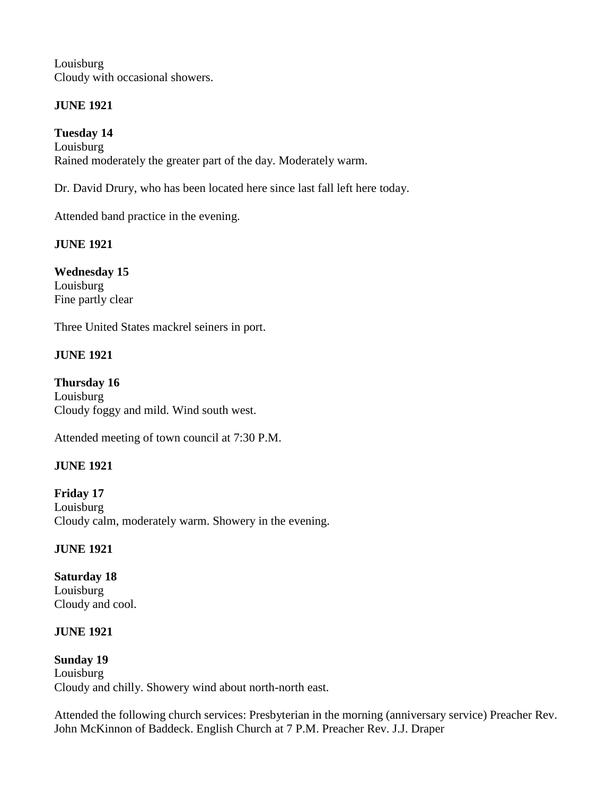Louisburg Cloudy with occasional showers.

# **JUNE 1921**

**Tuesday 14** Louisburg Rained moderately the greater part of the day. Moderately warm.

Dr. David Drury, who has been located here since last fall left here today.

Attended band practice in the evening.

### **JUNE 1921**

**Wednesday 15** Louisburg Fine partly clear

Three United States mackrel seiners in port.

# **JUNE 1921**

**Thursday 16** Louisburg Cloudy foggy and mild. Wind south west.

Attended meeting of town council at 7:30 P.M.

# **JUNE 1921**

**Friday 17** Louisburg Cloudy calm, moderately warm. Showery in the evening.

# **JUNE 1921**

**Saturday 18** Louisburg Cloudy and cool.

# **JUNE 1921**

**Sunday 19** Louisburg Cloudy and chilly. Showery wind about north-north east.

Attended the following church services: Presbyterian in the morning (anniversary service) Preacher Rev. John McKinnon of Baddeck. English Church at 7 P.M. Preacher Rev. J.J. Draper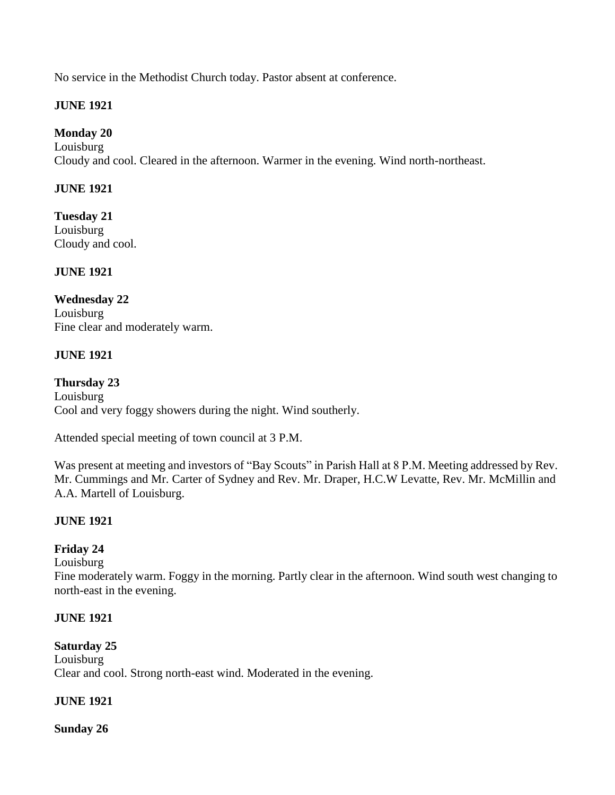No service in the Methodist Church today. Pastor absent at conference.

### **JUNE 1921**

# **Monday 20**

Louisburg Cloudy and cool. Cleared in the afternoon. Warmer in the evening. Wind north-northeast.

### **JUNE 1921**

**Tuesday 21** Louisburg Cloudy and cool.

### **JUNE 1921**

**Wednesday 22** Louisburg Fine clear and moderately warm.

### **JUNE 1921**

**Thursday 23** Louisburg Cool and very foggy showers during the night. Wind southerly.

Attended special meeting of town council at 3 P.M.

Was present at meeting and investors of "Bay Scouts" in Parish Hall at 8 P.M. Meeting addressed by Rev. Mr. Cummings and Mr. Carter of Sydney and Rev. Mr. Draper, H.C.W Levatte, Rev. Mr. McMillin and A.A. Martell of Louisburg.

# **JUNE 1921**

# **Friday 24**

Louisburg

Fine moderately warm. Foggy in the morning. Partly clear in the afternoon. Wind south west changing to north-east in the evening.

### **JUNE 1921**

### **Saturday 25**

Louisburg Clear and cool. Strong north-east wind. Moderated in the evening.

# **JUNE 1921**

**Sunday 26**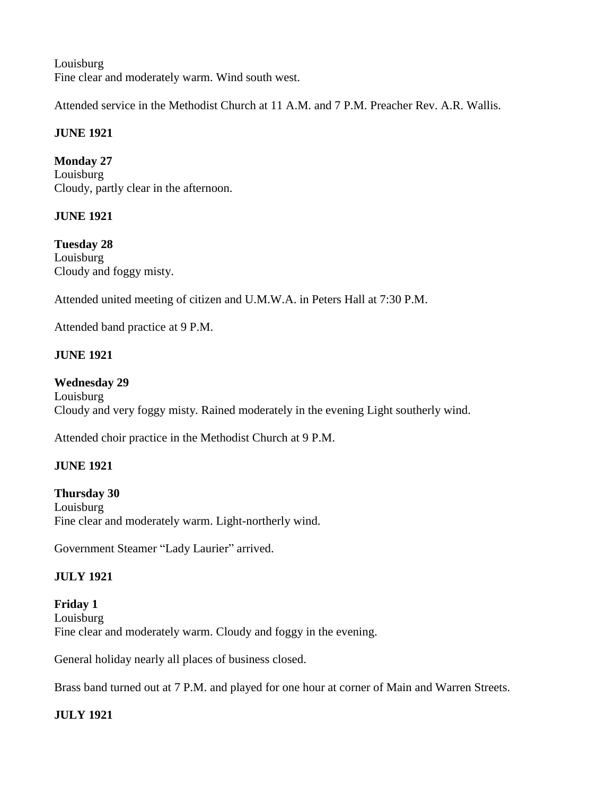Louisburg Fine clear and moderately warm. Wind south west.

Attended service in the Methodist Church at 11 A.M. and 7 P.M. Preacher Rev. A.R. Wallis.

# **JUNE 1921**

**Monday 27** Louisburg Cloudy, partly clear in the afternoon.

# **JUNE 1921**

**Tuesday 28** Louisburg Cloudy and foggy misty.

Attended united meeting of citizen and U.M.W.A. in Peters Hall at 7:30 P.M.

Attended band practice at 9 P.M.

### **JUNE 1921**

#### **Wednesday 29**

Louisburg Cloudy and very foggy misty. Rained moderately in the evening Light southerly wind.

Attended choir practice in the Methodist Church at 9 P.M.

### **JUNE 1921**

**Thursday 30** Louisburg Fine clear and moderately warm. Light-northerly wind.

Government Steamer "Lady Laurier" arrived.

# **JULY 1921**

**Friday 1** Louisburg Fine clear and moderately warm. Cloudy and foggy in the evening.

General holiday nearly all places of business closed.

Brass band turned out at 7 P.M. and played for one hour at corner of Main and Warren Streets.

# **JULY 1921**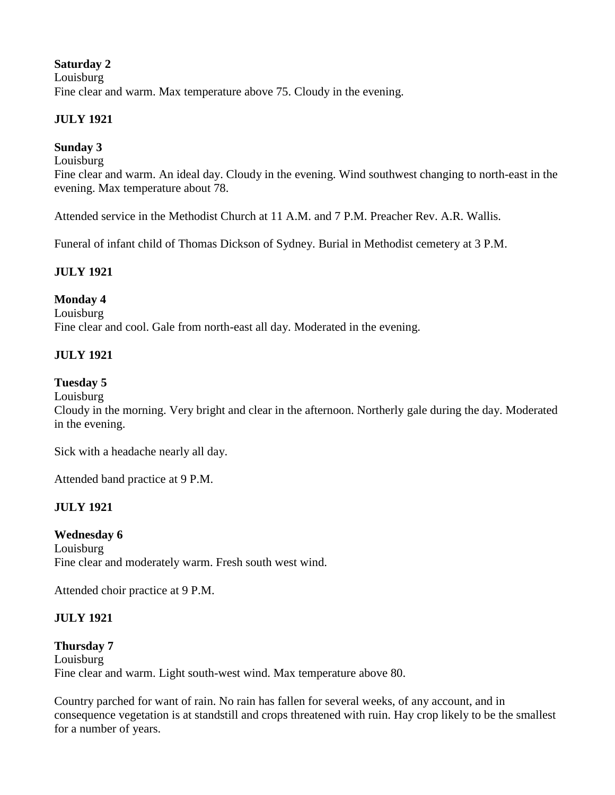**Saturday 2** Louisburg Fine clear and warm. Max temperature above 75. Cloudy in the evening.

### **JULY 1921**

### **Sunday 3**

Louisburg

Fine clear and warm. An ideal day. Cloudy in the evening. Wind southwest changing to north-east in the evening. Max temperature about 78.

Attended service in the Methodist Church at 11 A.M. and 7 P.M. Preacher Rev. A.R. Wallis.

Funeral of infant child of Thomas Dickson of Sydney. Burial in Methodist cemetery at 3 P.M.

### **JULY 1921**

### **Monday 4**

Louisburg Fine clear and cool. Gale from north-east all day. Moderated in the evening.

### **JULY 1921**

### **Tuesday 5**

Louisburg

Cloudy in the morning. Very bright and clear in the afternoon. Northerly gale during the day. Moderated in the evening.

Sick with a headache nearly all day.

Attended band practice at 9 P.M.

### **JULY 1921**

### **Wednesday 6**

Louisburg Fine clear and moderately warm. Fresh south west wind.

Attended choir practice at 9 P.M.

### **JULY 1921**

# **Thursday 7**

Louisburg Fine clear and warm. Light south-west wind. Max temperature above 80.

Country parched for want of rain. No rain has fallen for several weeks, of any account, and in consequence vegetation is at standstill and crops threatened with ruin. Hay crop likely to be the smallest for a number of years.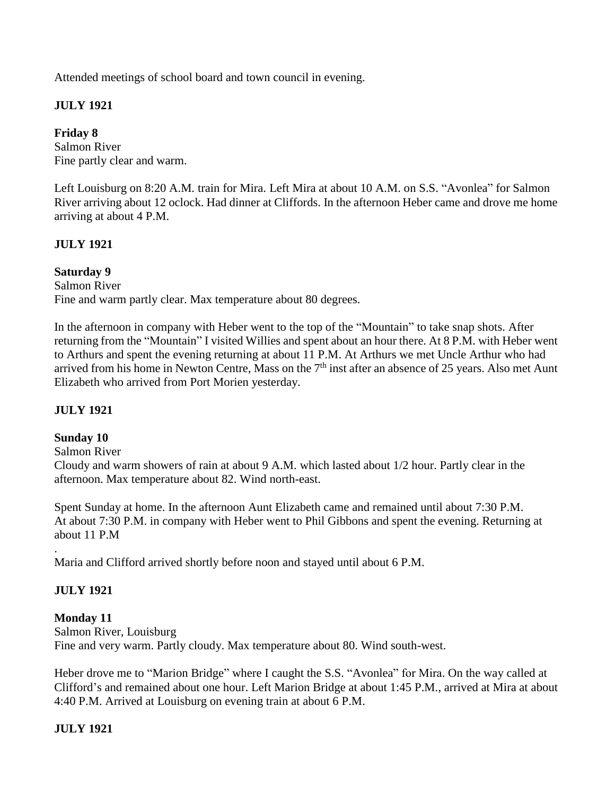Attended meetings of school board and town council in evening.

# **JULY 1921**

**Friday 8** Salmon River Fine partly clear and warm.

Left Louisburg on 8:20 A.M. train for Mira. Left Mira at about 10 A.M. on S.S. "Avonlea" for Salmon River arriving about 12 oclock. Had dinner at Cliffords. In the afternoon Heber came and drove me home arriving at about 4 P.M.

### **JULY 1921**

### **Saturday 9**

Salmon River Fine and warm partly clear. Max temperature about 80 degrees.

In the afternoon in company with Heber went to the top of the "Mountain" to take snap shots. After returning from the "Mountain" I visited Willies and spent about an hour there. At 8 P.M. with Heber went to Arthurs and spent the evening returning at about 11 P.M. At Arthurs we met Uncle Arthur who had arrived from his home in Newton Centre, Mass on the  $7<sup>th</sup>$  inst after an absence of 25 years. Also met Aunt Elizabeth who arrived from Port Morien yesterday.

### **JULY 1921**

### **Sunday 10**

Salmon River

Cloudy and warm showers of rain at about 9 A.M. which lasted about 1/2 hour. Partly clear in the afternoon. Max temperature about 82. Wind north-east.

Spent Sunday at home. In the afternoon Aunt Elizabeth came and remained until about 7:30 P.M. At about 7:30 P.M. in company with Heber went to Phil Gibbons and spent the evening. Returning at about 11 P.M

Maria and Clifford arrived shortly before noon and stayed until about 6 P.M.

### **JULY 1921**

.

**Monday 11** Salmon River, Louisburg Fine and very warm. Partly cloudy. Max temperature about 80. Wind south-west.

Heber drove me to "Marion Bridge" where I caught the S.S. "Avonlea" for Mira. On the way called at Clifford's and remained about one hour. Left Marion Bridge at about 1:45 P.M., arrived at Mira at about 4:40 P.M. Arrived at Louisburg on evening train at about 6 P.M.

# **JULY 1921**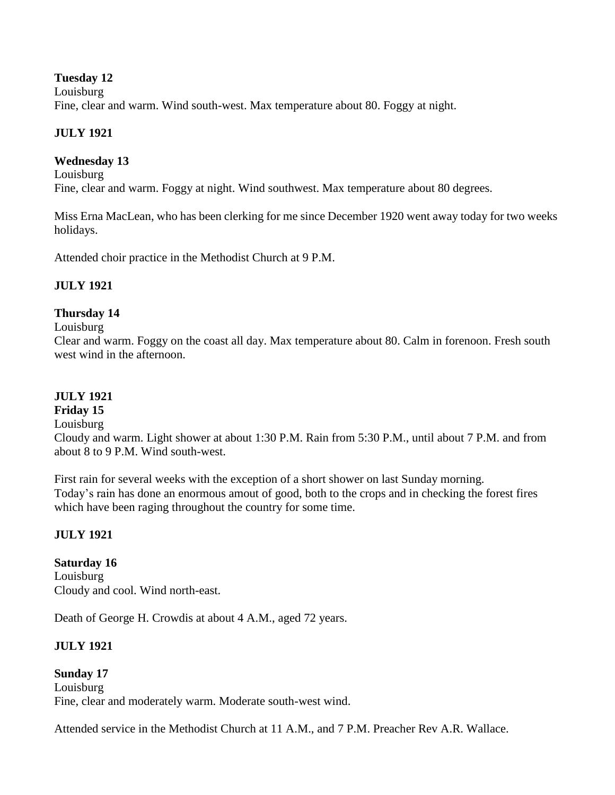#### **Tuesday 12**

Louisburg Fine, clear and warm. Wind south-west. Max temperature about 80. Foggy at night.

### **JULY 1921**

### **Wednesday 13**

Louisburg Fine, clear and warm. Foggy at night. Wind southwest. Max temperature about 80 degrees.

Miss Erna MacLean, who has been clerking for me since December 1920 went away today for two weeks holidays.

Attended choir practice in the Methodist Church at 9 P.M.

### **JULY 1921**

### **Thursday 14**

Louisburg

Clear and warm. Foggy on the coast all day. Max temperature about 80. Calm in forenoon. Fresh south west wind in the afternoon.

#### **JULY 1921**

#### **Friday 15**

#### Louisburg

Cloudy and warm. Light shower at about 1:30 P.M. Rain from 5:30 P.M., until about 7 P.M. and from about 8 to 9 P.M. Wind south-west.

First rain for several weeks with the exception of a short shower on last Sunday morning. Today's rain has done an enormous amout of good, both to the crops and in checking the forest fires which have been raging throughout the country for some time.

### **JULY 1921**

**Saturday 16** Louisburg Cloudy and cool. Wind north-east.

Death of George H. Crowdis at about 4 A.M., aged 72 years.

# **JULY 1921**

**Sunday 17** Louisburg Fine, clear and moderately warm. Moderate south-west wind.

Attended service in the Methodist Church at 11 A.M., and 7 P.M. Preacher Rev A.R. Wallace.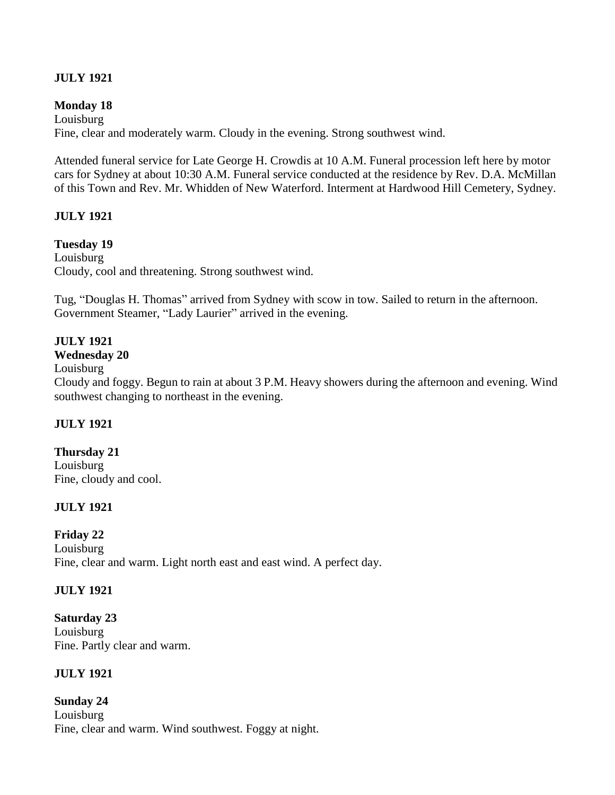### **JULY 1921**

#### **Monday 18**

Louisburg Fine, clear and moderately warm. Cloudy in the evening. Strong southwest wind.

Attended funeral service for Late George H. Crowdis at 10 A.M. Funeral procession left here by motor cars for Sydney at about 10:30 A.M. Funeral service conducted at the residence by Rev. D.A. McMillan of this Town and Rev. Mr. Whidden of New Waterford. Interment at Hardwood Hill Cemetery, Sydney.

#### **JULY 1921**

#### **Tuesday 19**

Louisburg Cloudy, cool and threatening. Strong southwest wind.

Tug, "Douglas H. Thomas" arrived from Sydney with scow in tow. Sailed to return in the afternoon. Government Steamer, "Lady Laurier" arrived in the evening.

#### **JULY 1921**

#### **Wednesday 20**

Louisburg

Cloudy and foggy. Begun to rain at about 3 P.M. Heavy showers during the afternoon and evening. Wind southwest changing to northeast in the evening.

#### **JULY 1921**

**Thursday 21** Louisburg

Fine, cloudy and cool.

### **JULY 1921**

#### **Friday 22**

Louisburg Fine, clear and warm. Light north east and east wind. A perfect day.

#### **JULY 1921**

**Saturday 23** Louisburg Fine. Partly clear and warm.

### **JULY 1921**

**Sunday 24** Louisburg Fine, clear and warm. Wind southwest. Foggy at night.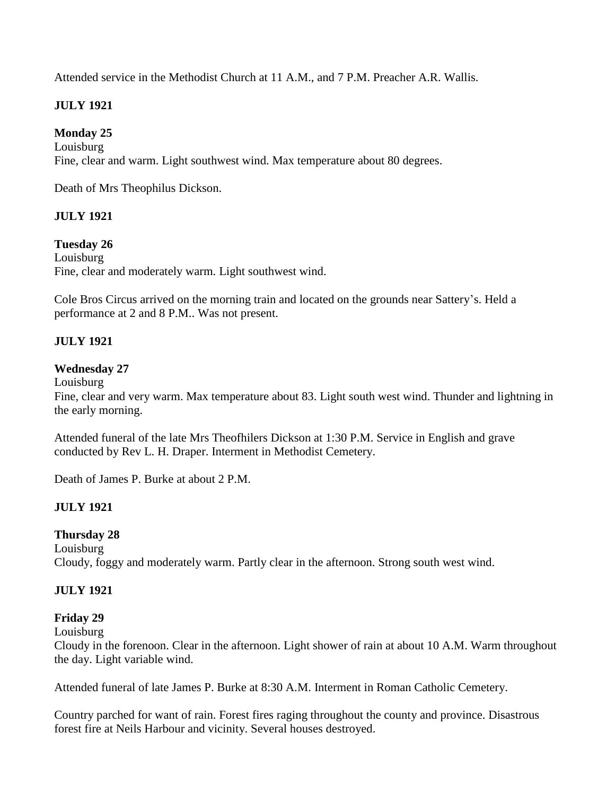Attended service in the Methodist Church at 11 A.M., and 7 P.M. Preacher A.R. Wallis.

# **JULY 1921**

**Monday 25** Louisburg Fine, clear and warm. Light southwest wind. Max temperature about 80 degrees.

Death of Mrs Theophilus Dickson.

### **JULY 1921**

#### **Tuesday 26**

Louisburg Fine, clear and moderately warm. Light southwest wind.

Cole Bros Circus arrived on the morning train and located on the grounds near Sattery's. Held a performance at 2 and 8 P.M.. Was not present.

### **JULY 1921**

#### **Wednesday 27**

Louisburg

Fine, clear and very warm. Max temperature about 83. Light south west wind. Thunder and lightning in the early morning.

Attended funeral of the late Mrs Theofhilers Dickson at 1:30 P.M. Service in English and grave conducted by Rev L. H. Draper. Interment in Methodist Cemetery.

Death of James P. Burke at about 2 P.M.

### **JULY 1921**

### **Thursday 28**

Louisburg Cloudy, foggy and moderately warm. Partly clear in the afternoon. Strong south west wind.

### **JULY 1921**

### **Friday 29**

Louisburg

Cloudy in the forenoon. Clear in the afternoon. Light shower of rain at about 10 A.M. Warm throughout the day. Light variable wind.

Attended funeral of late James P. Burke at 8:30 A.M. Interment in Roman Catholic Cemetery.

Country parched for want of rain. Forest fires raging throughout the county and province. Disastrous forest fire at Neils Harbour and vicinity. Several houses destroyed.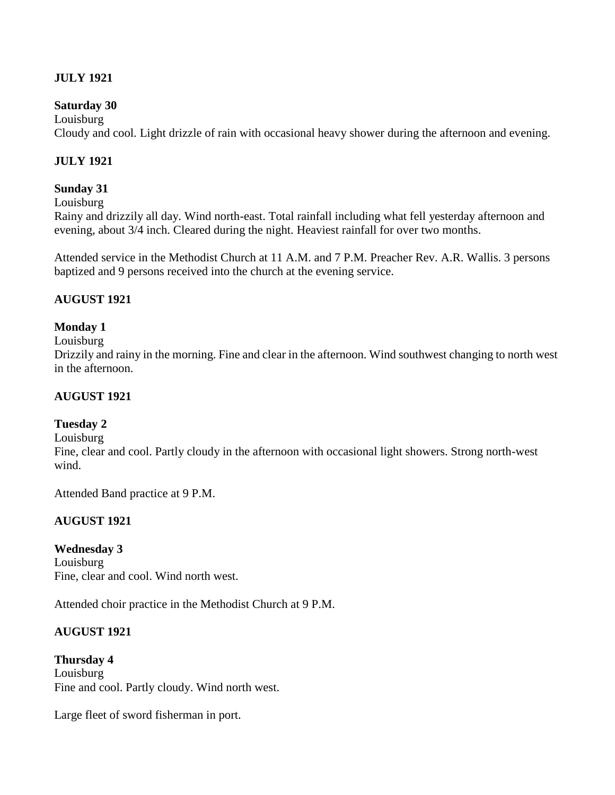### **JULY 1921**

#### **Saturday 30**

Louisburg Cloudy and cool. Light drizzle of rain with occasional heavy shower during the afternoon and evening.

### **JULY 1921**

#### **Sunday 31**

Louisburg

Rainy and drizzily all day. Wind north-east. Total rainfall including what fell yesterday afternoon and evening, about 3/4 inch. Cleared during the night. Heaviest rainfall for over two months.

Attended service in the Methodist Church at 11 A.M. and 7 P.M. Preacher Rev. A.R. Wallis. 3 persons baptized and 9 persons received into the church at the evening service.

#### **AUGUST 1921**

#### **Monday 1**

Louisburg

Drizzily and rainy in the morning. Fine and clear in the afternoon. Wind southwest changing to north west in the afternoon.

#### **AUGUST 1921**

#### **Tuesday 2**

Louisburg

Fine, clear and cool. Partly cloudy in the afternoon with occasional light showers. Strong north-west wind.

Attended Band practice at 9 P.M.

### **AUGUST 1921**

#### **Wednesday 3**

Louisburg Fine, clear and cool. Wind north west.

Attended choir practice in the Methodist Church at 9 P.M.

### **AUGUST 1921**

**Thursday 4** Louisburg Fine and cool. Partly cloudy. Wind north west.

Large fleet of sword fisherman in port.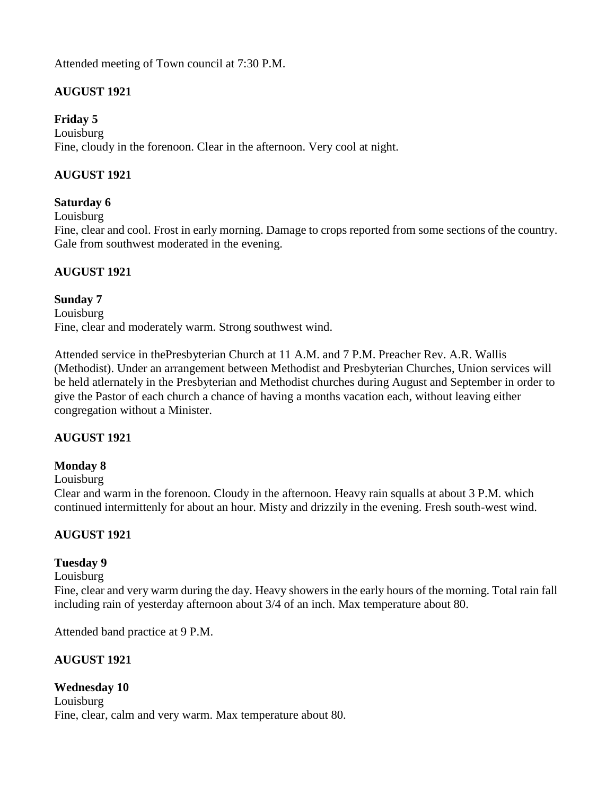Attended meeting of Town council at 7:30 P.M.

# **AUGUST 1921**

### **Friday 5**

Louisburg Fine, cloudy in the forenoon. Clear in the afternoon. Very cool at night.

# **AUGUST 1921**

### **Saturday 6**

Louisburg

Fine, clear and cool. Frost in early morning. Damage to crops reported from some sections of the country. Gale from southwest moderated in the evening.

### **AUGUST 1921**

### **Sunday 7**

Louisburg Fine, clear and moderately warm. Strong southwest wind.

Attended service in thePresbyterian Church at 11 A.M. and 7 P.M. Preacher Rev. A.R. Wallis (Methodist). Under an arrangement between Methodist and Presbyterian Churches, Union services will be held atlernately in the Presbyterian and Methodist churches during August and September in order to give the Pastor of each church a chance of having a months vacation each, without leaving either congregation without a Minister.

# **AUGUST 1921**

# **Monday 8**

Louisburg

Clear and warm in the forenoon. Cloudy in the afternoon. Heavy rain squalls at about 3 P.M. which continued intermittenly for about an hour. Misty and drizzily in the evening. Fresh south-west wind.

# **AUGUST 1921**

# **Tuesday 9**

### Louisburg

Fine, clear and very warm during the day. Heavy showers in the early hours of the morning. Total rain fall including rain of yesterday afternoon about 3/4 of an inch. Max temperature about 80.

Attended band practice at 9 P.M.

### **AUGUST 1921**

**Wednesday 10** Louisburg Fine, clear, calm and very warm. Max temperature about 80.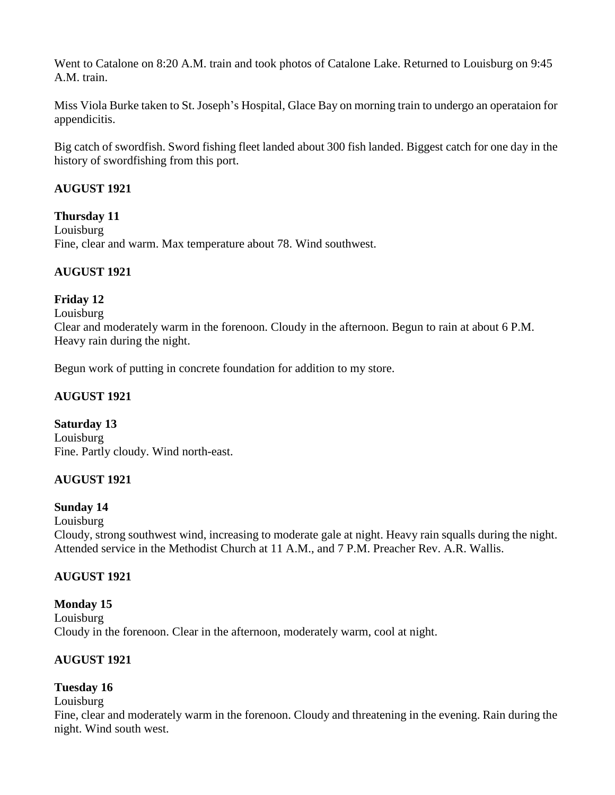Went to Catalone on 8:20 A.M. train and took photos of Catalone Lake. Returned to Louisburg on 9:45 A.M. train.

Miss Viola Burke taken to St. Joseph's Hospital, Glace Bay on morning train to undergo an operataion for appendicitis.

Big catch of swordfish. Sword fishing fleet landed about 300 fish landed. Biggest catch for one day in the history of swordfishing from this port.

### **AUGUST 1921**

**Thursday 11** Louisburg Fine, clear and warm. Max temperature about 78. Wind southwest.

# **AUGUST 1921**

### **Friday 12**

Louisburg

Clear and moderately warm in the forenoon. Cloudy in the afternoon. Begun to rain at about 6 P.M. Heavy rain during the night.

Begun work of putting in concrete foundation for addition to my store.

### **AUGUST 1921**

**Saturday 13** Louisburg Fine. Partly cloudy. Wind north-east.

# **AUGUST 1921**

### **Sunday 14**

Louisburg

Cloudy, strong southwest wind, increasing to moderate gale at night. Heavy rain squalls during the night. Attended service in the Methodist Church at 11 A.M., and 7 P.M. Preacher Rev. A.R. Wallis.

### **AUGUST 1921**

**Monday 15** Louisburg Cloudy in the forenoon. Clear in the afternoon, moderately warm, cool at night.

### **AUGUST 1921**

### **Tuesday 16**

Louisburg

Fine, clear and moderately warm in the forenoon. Cloudy and threatening in the evening. Rain during the night. Wind south west.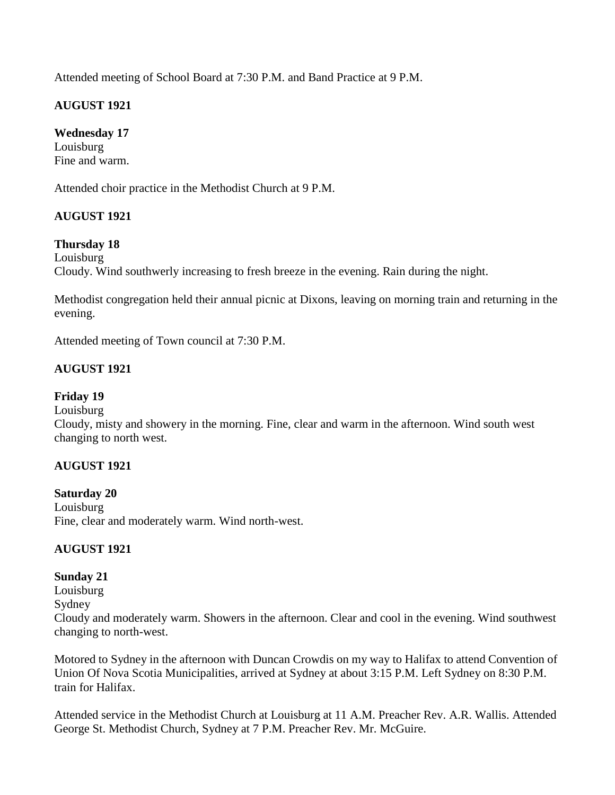Attended meeting of School Board at 7:30 P.M. and Band Practice at 9 P.M.

### **AUGUST 1921**

# **Wednesday 17**

Louisburg Fine and warm.

Attended choir practice in the Methodist Church at 9 P.M.

### **AUGUST 1921**

### **Thursday 18**

Louisburg

Cloudy. Wind southwerly increasing to fresh breeze in the evening. Rain during the night.

Methodist congregation held their annual picnic at Dixons, leaving on morning train and returning in the evening.

Attended meeting of Town council at 7:30 P.M.

### **AUGUST 1921**

### **Friday 19**

#### Louisburg

Cloudy, misty and showery in the morning. Fine, clear and warm in the afternoon. Wind south west changing to north west.

### **AUGUST 1921**

#### **Saturday 20**

Louisburg Fine, clear and moderately warm. Wind north-west.

### **AUGUST 1921**

### **Sunday 21**

Louisburg Sydney Cloudy and moderately warm. Showers in the afternoon. Clear and cool in the evening. Wind southwest changing to north-west.

Motored to Sydney in the afternoon with Duncan Crowdis on my way to Halifax to attend Convention of Union Of Nova Scotia Municipalities, arrived at Sydney at about 3:15 P.M. Left Sydney on 8:30 P.M. train for Halifax.

Attended service in the Methodist Church at Louisburg at 11 A.M. Preacher Rev. A.R. Wallis. Attended George St. Methodist Church, Sydney at 7 P.M. Preacher Rev. Mr. McGuire.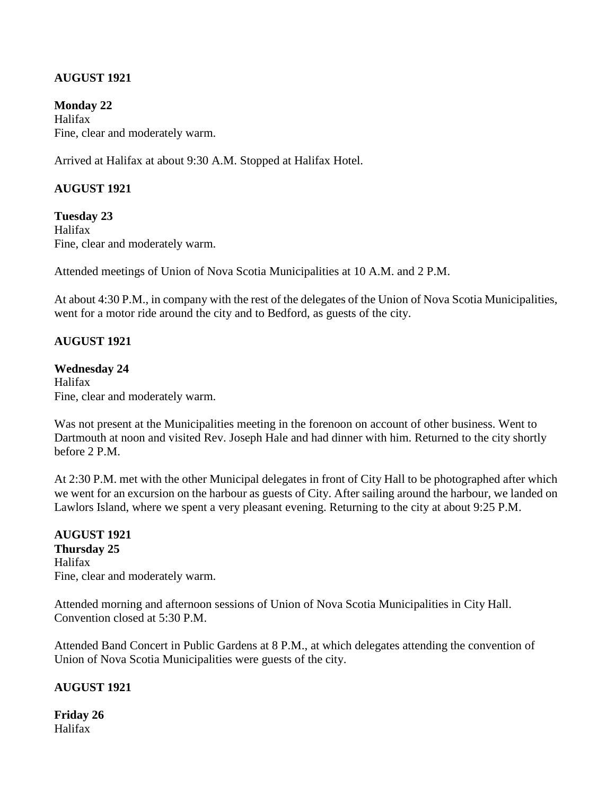### **AUGUST 1921**

**Monday 22** Halifax Fine, clear and moderately warm.

Arrived at Halifax at about 9:30 A.M. Stopped at Halifax Hotel.

#### **AUGUST 1921**

**Tuesday 23** Halifax Fine, clear and moderately warm.

Attended meetings of Union of Nova Scotia Municipalities at 10 A.M. and 2 P.M.

At about 4:30 P.M., in company with the rest of the delegates of the Union of Nova Scotia Municipalities, went for a motor ride around the city and to Bedford, as guests of the city.

#### **AUGUST 1921**

#### **Wednesday 24**

Halifax Fine, clear and moderately warm.

Was not present at the Municipalities meeting in the forenoon on account of other business. Went to Dartmouth at noon and visited Rev. Joseph Hale and had dinner with him. Returned to the city shortly before 2 P.M.

At 2:30 P.M. met with the other Municipal delegates in front of City Hall to be photographed after which we went for an excursion on the harbour as guests of City. After sailing around the harbour, we landed on Lawlors Island, where we spent a very pleasant evening. Returning to the city at about 9:25 P.M.

#### **AUGUST 1921 Thursday 25** Halifax Fine, clear and moderately warm.

Attended morning and afternoon sessions of Union of Nova Scotia Municipalities in City Hall. Convention closed at 5:30 P.M.

Attended Band Concert in Public Gardens at 8 P.M., at which delegates attending the convention of Union of Nova Scotia Municipalities were guests of the city.

### **AUGUST 1921**

**Friday 26** Halifax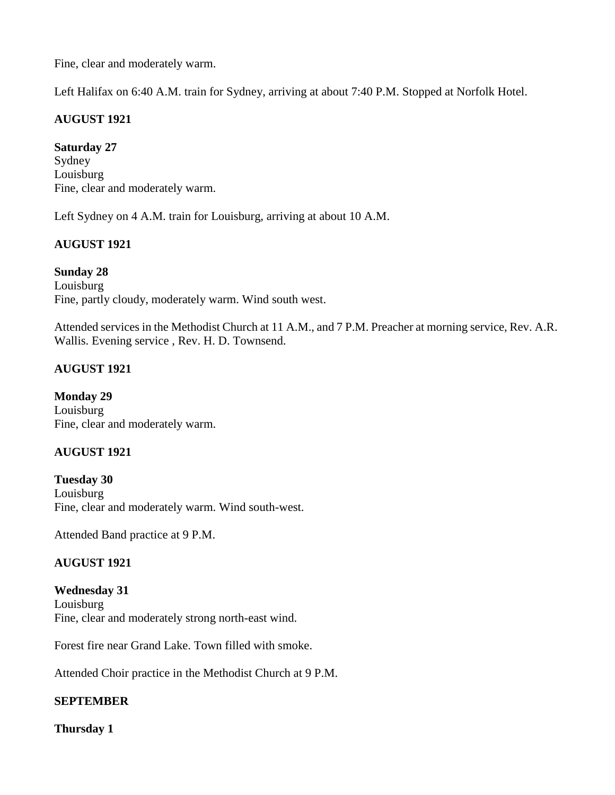Fine, clear and moderately warm.

Left Halifax on 6:40 A.M. train for Sydney, arriving at about 7:40 P.M. Stopped at Norfolk Hotel.

### **AUGUST 1921**

#### **Saturday 27**

Sydney Louisburg Fine, clear and moderately warm.

Left Sydney on 4 A.M. train for Louisburg, arriving at about 10 A.M.

### **AUGUST 1921**

**Sunday 28** Louisburg Fine, partly cloudy, moderately warm. Wind south west.

Attended services in the Methodist Church at 11 A.M., and 7 P.M. Preacher at morning service, Rev. A.R. Wallis. Evening service , Rev. H. D. Townsend.

### **AUGUST 1921**

**Monday 29** Louisburg Fine, clear and moderately warm.

### **AUGUST 1921**

**Tuesday 30** Louisburg Fine, clear and moderately warm. Wind south-west.

Attended Band practice at 9 P.M.

### **AUGUST 1921**

**Wednesday 31** Louisburg Fine, clear and moderately strong north-east wind.

Forest fire near Grand Lake. Town filled with smoke.

Attended Choir practice in the Methodist Church at 9 P.M.

### **SEPTEMBER**

**Thursday 1**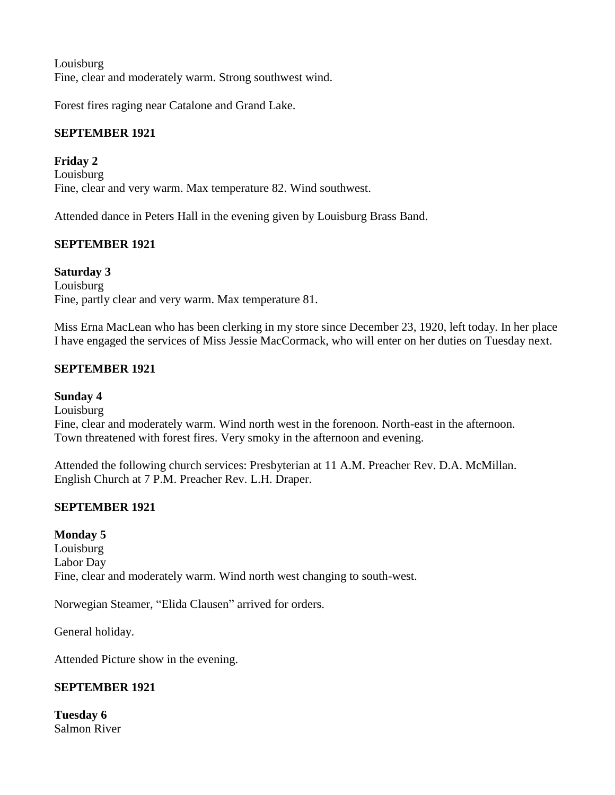Louisburg Fine, clear and moderately warm. Strong southwest wind.

Forest fires raging near Catalone and Grand Lake.

# **SEPTEMBER 1921**

**Friday 2** Louisburg Fine, clear and very warm. Max temperature 82. Wind southwest.

Attended dance in Peters Hall in the evening given by Louisburg Brass Band.

### **SEPTEMBER 1921**

**Saturday 3** Louisburg Fine, partly clear and very warm. Max temperature 81.

Miss Erna MacLean who has been clerking in my store since December 23, 1920, left today. In her place I have engaged the services of Miss Jessie MacCormack, who will enter on her duties on Tuesday next.

### **SEPTEMBER 1921**

# **Sunday 4**

Louisburg

Fine, clear and moderately warm. Wind north west in the forenoon. North-east in the afternoon. Town threatened with forest fires. Very smoky in the afternoon and evening.

Attended the following church services: Presbyterian at 11 A.M. Preacher Rev. D.A. McMillan. English Church at 7 P.M. Preacher Rev. L.H. Draper.

### **SEPTEMBER 1921**

**Monday 5** Louisburg Labor Day Fine, clear and moderately warm. Wind north west changing to south-west.

Norwegian Steamer, "Elida Clausen" arrived for orders.

General holiday.

Attended Picture show in the evening.

### **SEPTEMBER 1921**

**Tuesday 6** Salmon River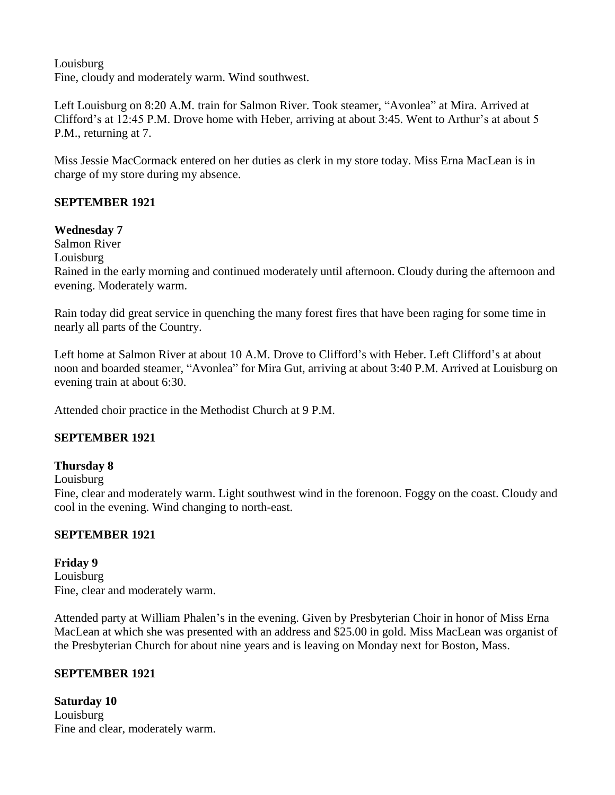Louisburg Fine, cloudy and moderately warm. Wind southwest.

Left Louisburg on 8:20 A.M. train for Salmon River. Took steamer, "Avonlea" at Mira. Arrived at Clifford's at 12:45 P.M. Drove home with Heber, arriving at about 3:45. Went to Arthur's at about 5 P.M., returning at 7.

Miss Jessie MacCormack entered on her duties as clerk in my store today. Miss Erna MacLean is in charge of my store during my absence.

### **SEPTEMBER 1921**

### **Wednesday 7**

Salmon River

Louisburg

Rained in the early morning and continued moderately until afternoon. Cloudy during the afternoon and evening. Moderately warm.

Rain today did great service in quenching the many forest fires that have been raging for some time in nearly all parts of the Country.

Left home at Salmon River at about 10 A.M. Drove to Clifford's with Heber. Left Clifford's at about noon and boarded steamer, "Avonlea" for Mira Gut, arriving at about 3:40 P.M. Arrived at Louisburg on evening train at about 6:30.

Attended choir practice in the Methodist Church at 9 P.M.

### **SEPTEMBER 1921**

### **Thursday 8**

Louisburg

Fine, clear and moderately warm. Light southwest wind in the forenoon. Foggy on the coast. Cloudy and cool in the evening. Wind changing to north-east.

### **SEPTEMBER 1921**

**Friday 9** Louisburg Fine, clear and moderately warm.

Attended party at William Phalen's in the evening. Given by Presbyterian Choir in honor of Miss Erna MacLean at which she was presented with an address and \$25.00 in gold. Miss MacLean was organist of the Presbyterian Church for about nine years and is leaving on Monday next for Boston, Mass.

# **SEPTEMBER 1921**

**Saturday 10** Louisburg Fine and clear, moderately warm.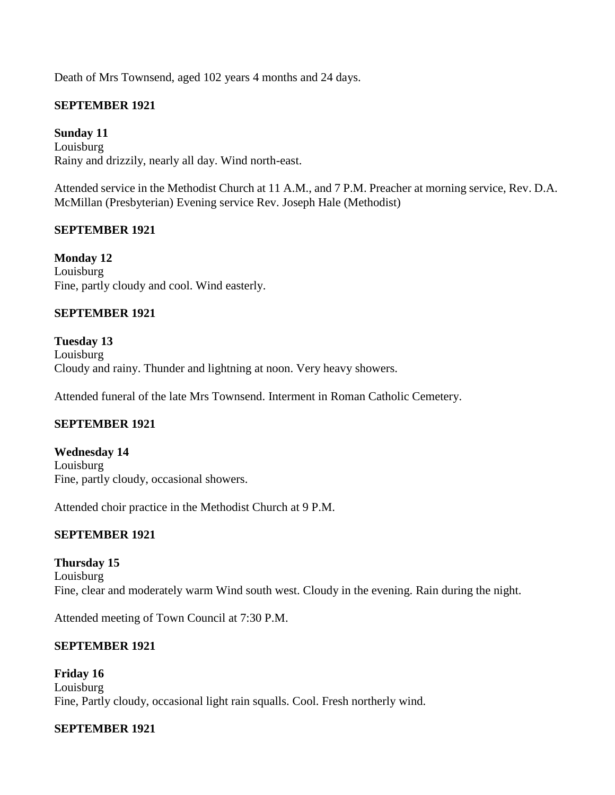Death of Mrs Townsend, aged 102 years 4 months and 24 days.

### **SEPTEMBER 1921**

**Sunday 11** Louisburg Rainy and drizzily, nearly all day. Wind north-east.

Attended service in the Methodist Church at 11 A.M., and 7 P.M. Preacher at morning service, Rev. D.A. McMillan (Presbyterian) Evening service Rev. Joseph Hale (Methodist)

### **SEPTEMBER 1921**

**Monday 12** Louisburg Fine, partly cloudy and cool. Wind easterly.

#### **SEPTEMBER 1921**

**Tuesday 13** Louisburg Cloudy and rainy. Thunder and lightning at noon. Very heavy showers.

Attended funeral of the late Mrs Townsend. Interment in Roman Catholic Cemetery.

### **SEPTEMBER 1921**

**Wednesday 14** Louisburg Fine, partly cloudy, occasional showers.

Attended choir practice in the Methodist Church at 9 P.M.

### **SEPTEMBER 1921**

**Thursday 15** Louisburg Fine, clear and moderately warm Wind south west. Cloudy in the evening. Rain during the night.

Attended meeting of Town Council at 7:30 P.M.

### **SEPTEMBER 1921**

**Friday 16** Louisburg Fine, Partly cloudy, occasional light rain squalls. Cool. Fresh northerly wind.

### **SEPTEMBER 1921**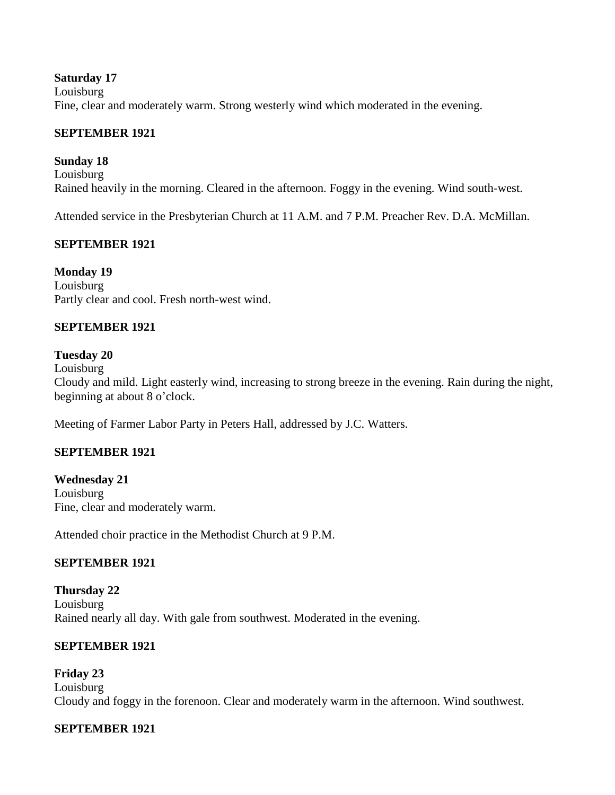#### **Saturday 17**

Louisburg Fine, clear and moderately warm. Strong westerly wind which moderated in the evening.

#### **SEPTEMBER 1921**

#### **Sunday 18**

Louisburg Rained heavily in the morning. Cleared in the afternoon. Foggy in the evening. Wind south-west.

Attended service in the Presbyterian Church at 11 A.M. and 7 P.M. Preacher Rev. D.A. McMillan.

#### **SEPTEMBER 1921**

**Monday 19** Louisburg Partly clear and cool. Fresh north-west wind.

### **SEPTEMBER 1921**

#### **Tuesday 20**

Louisburg

Cloudy and mild. Light easterly wind, increasing to strong breeze in the evening. Rain during the night, beginning at about 8 o'clock.

Meeting of Farmer Labor Party in Peters Hall, addressed by J.C. Watters.

### **SEPTEMBER 1921**

**Wednesday 21** Louisburg Fine, clear and moderately warm.

Attended choir practice in the Methodist Church at 9 P.M.

### **SEPTEMBER 1921**

**Thursday 22** Louisburg Rained nearly all day. With gale from southwest. Moderated in the evening.

#### **SEPTEMBER 1921**

**Friday 23** Louisburg Cloudy and foggy in the forenoon. Clear and moderately warm in the afternoon. Wind southwest.

### **SEPTEMBER 1921**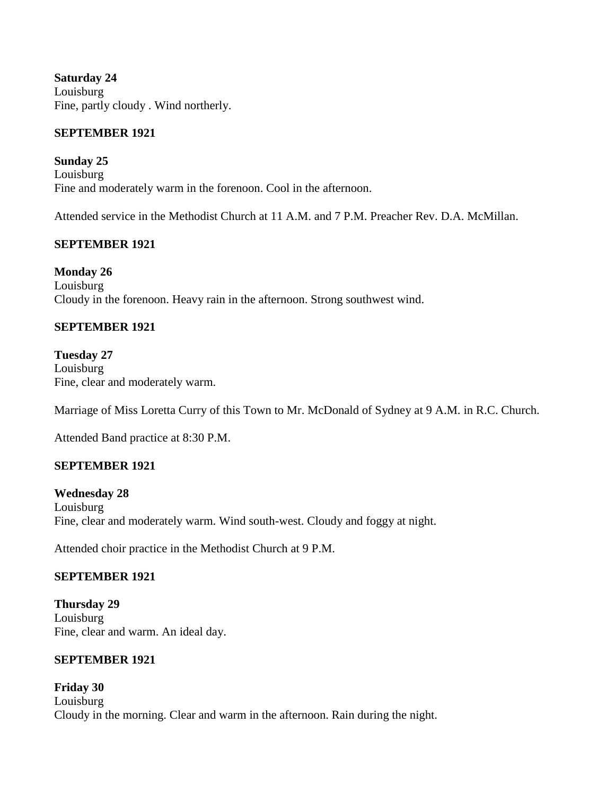**Saturday 24** Louisburg Fine, partly cloudy . Wind northerly.

### **SEPTEMBER 1921**

**Sunday 25** Louisburg Fine and moderately warm in the forenoon. Cool in the afternoon.

Attended service in the Methodist Church at 11 A.M. and 7 P.M. Preacher Rev. D.A. McMillan.

### **SEPTEMBER 1921**

**Monday 26** Louisburg Cloudy in the forenoon. Heavy rain in the afternoon. Strong southwest wind.

### **SEPTEMBER 1921**

**Tuesday 27** Louisburg Fine, clear and moderately warm.

Marriage of Miss Loretta Curry of this Town to Mr. McDonald of Sydney at 9 A.M. in R.C. Church.

Attended Band practice at 8:30 P.M.

# **SEPTEMBER 1921**

**Wednesday 28** Louisburg Fine, clear and moderately warm. Wind south-west. Cloudy and foggy at night.

Attended choir practice in the Methodist Church at 9 P.M.

### **SEPTEMBER 1921**

**Thursday 29** Louisburg Fine, clear and warm. An ideal day.

### **SEPTEMBER 1921**

**Friday 30** Louisburg Cloudy in the morning. Clear and warm in the afternoon. Rain during the night.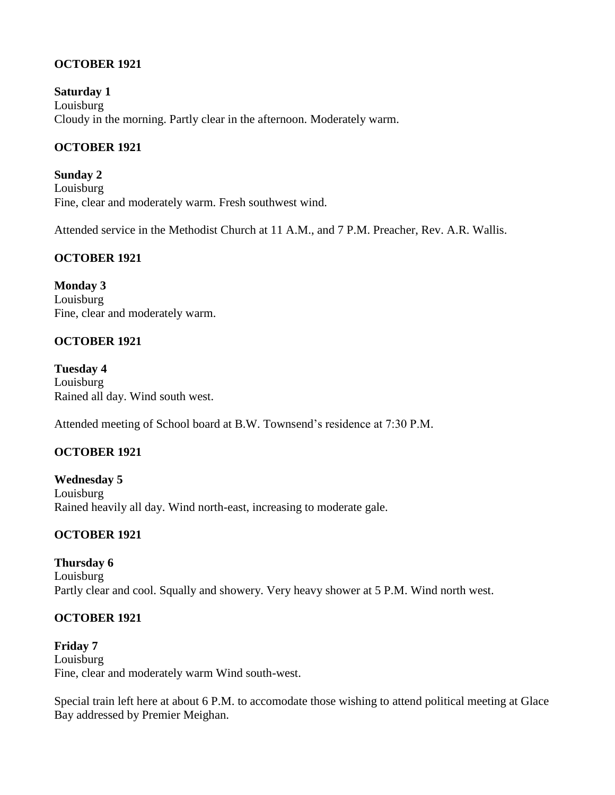### **OCTOBER 1921**

**Saturday 1** Louisburg Cloudy in the morning. Partly clear in the afternoon. Moderately warm.

### **OCTOBER 1921**

**Sunday 2** Louisburg Fine, clear and moderately warm. Fresh southwest wind.

Attended service in the Methodist Church at 11 A.M., and 7 P.M. Preacher, Rev. A.R. Wallis.

### **OCTOBER 1921**

**Monday 3** Louisburg Fine, clear and moderately warm.

### **OCTOBER 1921**

**Tuesday 4** Louisburg Rained all day. Wind south west.

Attended meeting of School board at B.W. Townsend's residence at 7:30 P.M.

### **OCTOBER 1921**

**Wednesday 5** Louisburg Rained heavily all day. Wind north-east, increasing to moderate gale.

### **OCTOBER 1921**

**Thursday 6** Louisburg Partly clear and cool. Squally and showery. Very heavy shower at 5 P.M. Wind north west.

### **OCTOBER 1921**

**Friday 7** Louisburg Fine, clear and moderately warm Wind south-west.

Special train left here at about 6 P.M. to accomodate those wishing to attend political meeting at Glace Bay addressed by Premier Meighan.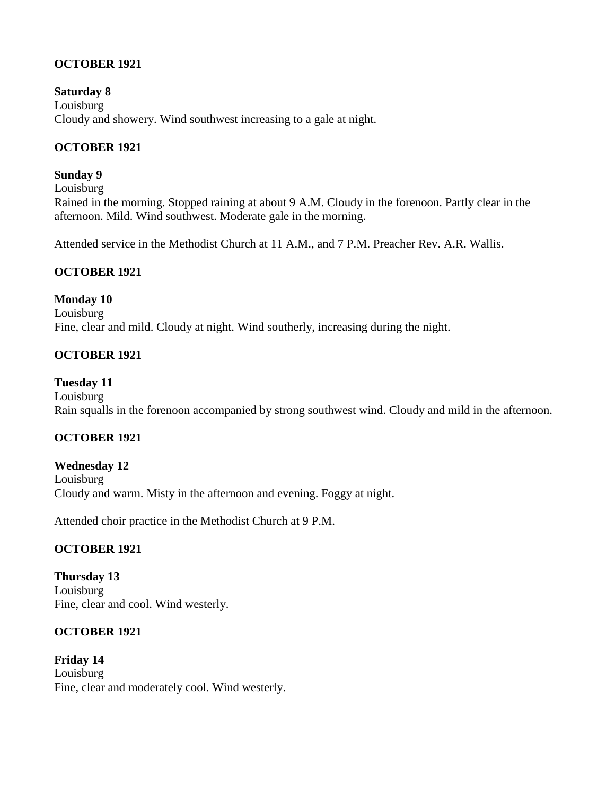### **OCTOBER 1921**

**Saturday 8** Louisburg Cloudy and showery. Wind southwest increasing to a gale at night.

### **OCTOBER 1921**

#### **Sunday 9**

Louisburg Rained in the morning. Stopped raining at about 9 A.M. Cloudy in the forenoon. Partly clear in the afternoon. Mild. Wind southwest. Moderate gale in the morning.

Attended service in the Methodist Church at 11 A.M., and 7 P.M. Preacher Rev. A.R. Wallis.

### **OCTOBER 1921**

### **Monday 10**

Louisburg Fine, clear and mild. Cloudy at night. Wind southerly, increasing during the night.

### **OCTOBER 1921**

### **Tuesday 11**

Louisburg Rain squalls in the forenoon accompanied by strong southwest wind. Cloudy and mild in the afternoon.

### **OCTOBER 1921**

**Wednesday 12** Louisburg Cloudy and warm. Misty in the afternoon and evening. Foggy at night.

Attended choir practice in the Methodist Church at 9 P.M.

### **OCTOBER 1921**

**Thursday 13** Louisburg Fine, clear and cool. Wind westerly.

### **OCTOBER 1921**

**Friday 14** Louisburg Fine, clear and moderately cool. Wind westerly.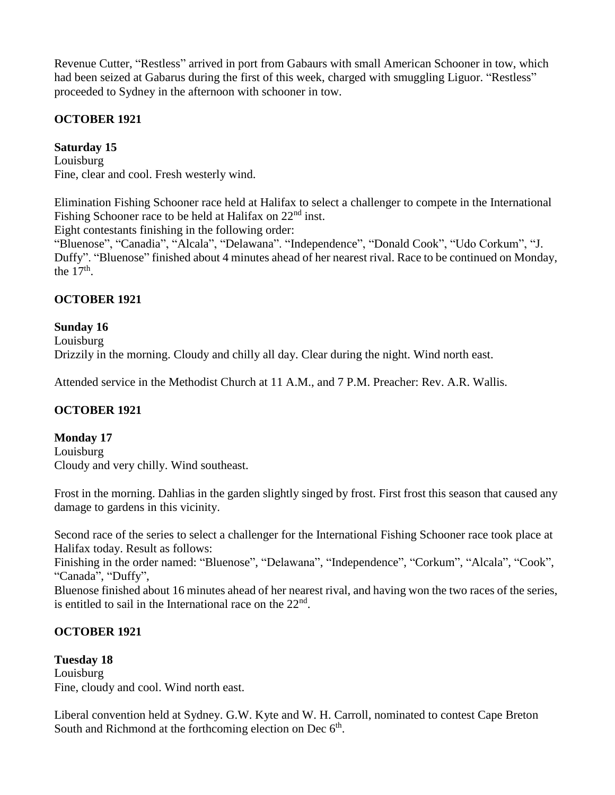Revenue Cutter, "Restless" arrived in port from Gabaurs with small American Schooner in tow, which had been seized at Gabarus during the first of this week, charged with smuggling Liguor. "Restless" proceeded to Sydney in the afternoon with schooner in tow.

### **OCTOBER 1921**

### **Saturday 15**

Louisburg Fine, clear and cool. Fresh westerly wind.

Elimination Fishing Schooner race held at Halifax to select a challenger to compete in the International Fishing Schooner race to be held at Halifax on  $22<sup>nd</sup>$  inst.

Eight contestants finishing in the following order:

"Bluenose", "Canadia", "Alcala", "Delawana". "Independence", "Donald Cook", "Udo Corkum", "J. Duffy". "Bluenose" finished about 4 minutes ahead of her nearest rival. Race to be continued on Monday, the  $17<sup>th</sup>$ .

# **OCTOBER 1921**

**Sunday 16** Louisburg Drizzily in the morning. Cloudy and chilly all day. Clear during the night. Wind north east.

Attended service in the Methodist Church at 11 A.M., and 7 P.M. Preacher: Rev. A.R. Wallis.

### **OCTOBER 1921**

### **Monday 17**

Louisburg Cloudy and very chilly. Wind southeast.

Frost in the morning. Dahlias in the garden slightly singed by frost. First frost this season that caused any damage to gardens in this vicinity.

Second race of the series to select a challenger for the International Fishing Schooner race took place at Halifax today. Result as follows:

Finishing in the order named: "Bluenose", "Delawana", "Independence", "Corkum", "Alcala", "Cook", "Canada", "Duffy",

Bluenose finished about 16 minutes ahead of her nearest rival, and having won the two races of the series, is entitled to sail in the International race on the  $22<sup>nd</sup>$ .

# **OCTOBER 1921**

**Tuesday 18** Louisburg Fine, cloudy and cool. Wind north east.

Liberal convention held at Sydney. G.W. Kyte and W. H. Carroll, nominated to contest Cape Breton South and Richmond at the forthcoming election on Dec  $6<sup>th</sup>$ .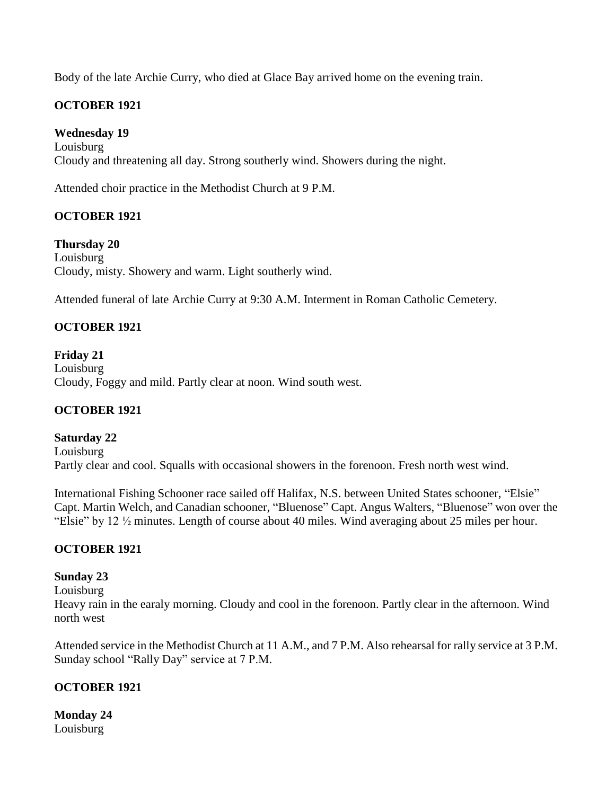Body of the late Archie Curry, who died at Glace Bay arrived home on the evening train.

# **OCTOBER 1921**

**Wednesday 19** Louisburg Cloudy and threatening all day. Strong southerly wind. Showers during the night.

Attended choir practice in the Methodist Church at 9 P.M.

# **OCTOBER 1921**

**Thursday 20** Louisburg Cloudy, misty. Showery and warm. Light southerly wind.

Attended funeral of late Archie Curry at 9:30 A.M. Interment in Roman Catholic Cemetery.

### **OCTOBER 1921**

**Friday 21** Louisburg Cloudy, Foggy and mild. Partly clear at noon. Wind south west.

### **OCTOBER 1921**

**Saturday 22** Louisburg Partly clear and cool. Squalls with occasional showers in the forenoon. Fresh north west wind.

International Fishing Schooner race sailed off Halifax, N.S. between United States schooner, "Elsie" Capt. Martin Welch, and Canadian schooner, "Bluenose" Capt. Angus Walters, "Bluenose" won over the "Elsie" by 12 ½ minutes. Length of course about 40 miles. Wind averaging about 25 miles per hour.

### **OCTOBER 1921**

### **Sunday 23**

Louisburg

Heavy rain in the earaly morning. Cloudy and cool in the forenoon. Partly clear in the afternoon. Wind north west

Attended service in the Methodist Church at 11 A.M., and 7 P.M. Also rehearsal for rally service at 3 P.M. Sunday school "Rally Day" service at 7 P.M.

### **OCTOBER 1921**

**Monday 24** Louisburg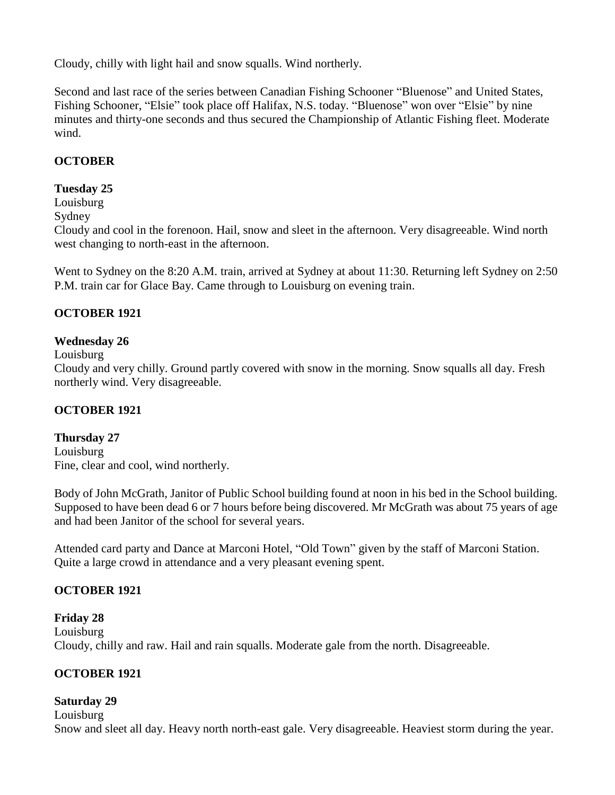Cloudy, chilly with light hail and snow squalls. Wind northerly.

Second and last race of the series between Canadian Fishing Schooner "Bluenose" and United States, Fishing Schooner, "Elsie" took place off Halifax, N.S. today. "Bluenose" won over "Elsie" by nine minutes and thirty-one seconds and thus secured the Championship of Atlantic Fishing fleet. Moderate wind.

# **OCTOBER**

### **Tuesday 25**

Louisburg

Sydney

Cloudy and cool in the forenoon. Hail, snow and sleet in the afternoon. Very disagreeable. Wind north west changing to north-east in the afternoon.

Went to Sydney on the 8:20 A.M. train, arrived at Sydney at about 11:30. Returning left Sydney on 2:50 P.M. train car for Glace Bay. Came through to Louisburg on evening train.

### **OCTOBER 1921**

### **Wednesday 26**

Louisburg

Cloudy and very chilly. Ground partly covered with snow in the morning. Snow squalls all day. Fresh northerly wind. Very disagreeable.

### **OCTOBER 1921**

# **Thursday 27**

Louisburg Fine, clear and cool, wind northerly.

Body of John McGrath, Janitor of Public School building found at noon in his bed in the School building. Supposed to have been dead 6 or 7 hours before being discovered. Mr McGrath was about 75 years of age and had been Janitor of the school for several years.

Attended card party and Dance at Marconi Hotel, "Old Town" given by the staff of Marconi Station. Quite a large crowd in attendance and a very pleasant evening spent.

### **OCTOBER 1921**

**Friday 28** Louisburg Cloudy, chilly and raw. Hail and rain squalls. Moderate gale from the north. Disagreeable.

### **OCTOBER 1921**

### **Saturday 29**

Louisburg

Snow and sleet all day. Heavy north north-east gale. Very disagreeable. Heaviest storm during the year.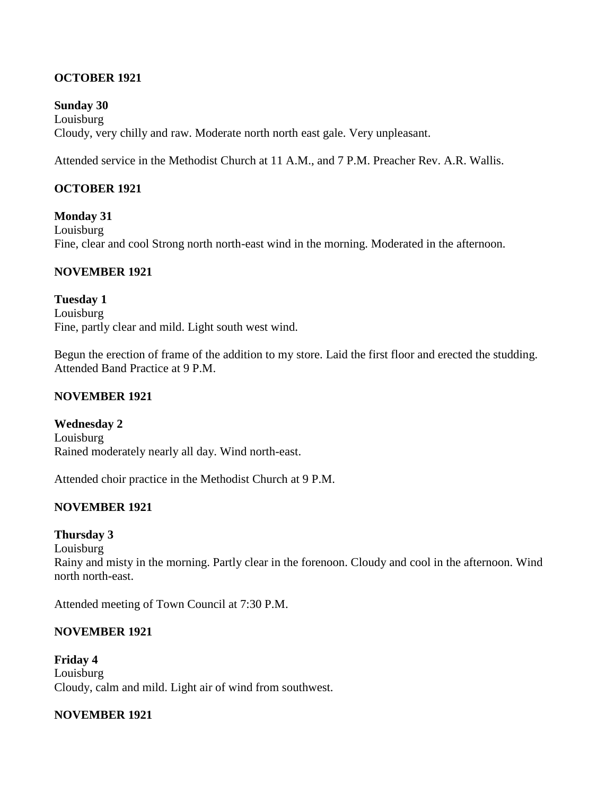### **OCTOBER 1921**

**Sunday 30** Louisburg Cloudy, very chilly and raw. Moderate north north east gale. Very unpleasant.

Attended service in the Methodist Church at 11 A.M., and 7 P.M. Preacher Rev. A.R. Wallis.

#### **OCTOBER 1921**

**Monday 31** Louisburg Fine, clear and cool Strong north north-east wind in the morning. Moderated in the afternoon.

#### **NOVEMBER 1921**

**Tuesday 1** Louisburg Fine, partly clear and mild. Light south west wind.

Begun the erection of frame of the addition to my store. Laid the first floor and erected the studding. Attended Band Practice at 9 P.M.

#### **NOVEMBER 1921**

**Wednesday 2** Louisburg Rained moderately nearly all day. Wind north-east.

Attended choir practice in the Methodist Church at 9 P.M.

### **NOVEMBER 1921**

#### **Thursday 3**

Louisburg Rainy and misty in the morning. Partly clear in the forenoon. Cloudy and cool in the afternoon. Wind north north-east.

Attended meeting of Town Council at 7:30 P.M.

### **NOVEMBER 1921**

**Friday 4** Louisburg Cloudy, calm and mild. Light air of wind from southwest.

#### **NOVEMBER 1921**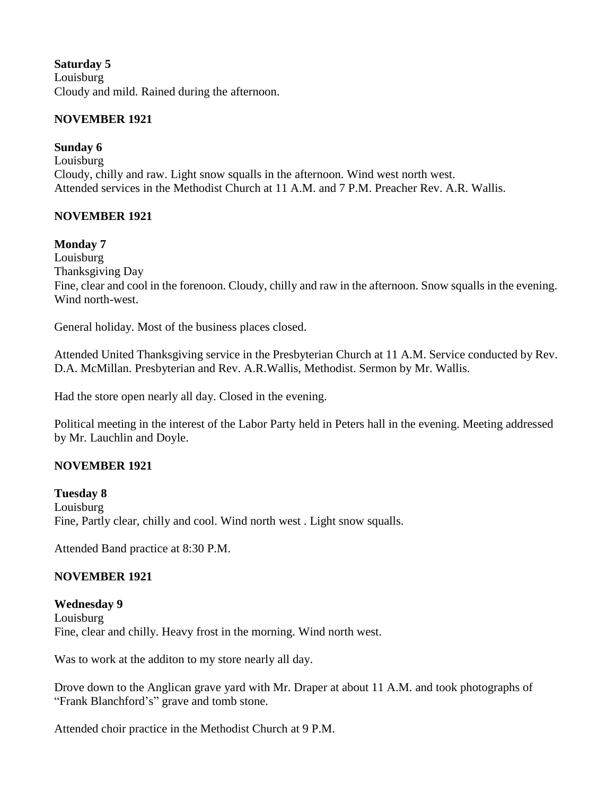### **Saturday 5**

Louisburg Cloudy and mild. Rained during the afternoon.

### **NOVEMBER 1921**

### **Sunday 6**

Louisburg Cloudy, chilly and raw. Light snow squalls in the afternoon. Wind west north west. Attended services in the Methodist Church at 11 A.M. and 7 P.M. Preacher Rev. A.R. Wallis.

### **NOVEMBER 1921**

### **Monday 7**

Louisburg Thanksgiving Day Fine, clear and cool in the forenoon. Cloudy, chilly and raw in the afternoon. Snow squalls in the evening. Wind north-west.

General holiday. Most of the business places closed.

Attended United Thanksgiving service in the Presbyterian Church at 11 A.M. Service conducted by Rev. D.A. McMillan. Presbyterian and Rev. A.R.Wallis, Methodist. Sermon by Mr. Wallis.

Had the store open nearly all day. Closed in the evening.

Political meeting in the interest of the Labor Party held in Peters hall in the evening. Meeting addressed by Mr. Lauchlin and Doyle.

### **NOVEMBER 1921**

**Tuesday 8** Louisburg Fine, Partly clear, chilly and cool. Wind north west . Light snow squalls.

Attended Band practice at 8:30 P.M.

### **NOVEMBER 1921**

**Wednesday 9** Louisburg Fine, clear and chilly. Heavy frost in the morning. Wind north west.

Was to work at the additon to my store nearly all day.

Drove down to the Anglican grave yard with Mr. Draper at about 11 A.M. and took photographs of "Frank Blanchford's" grave and tomb stone.

Attended choir practice in the Methodist Church at 9 P.M.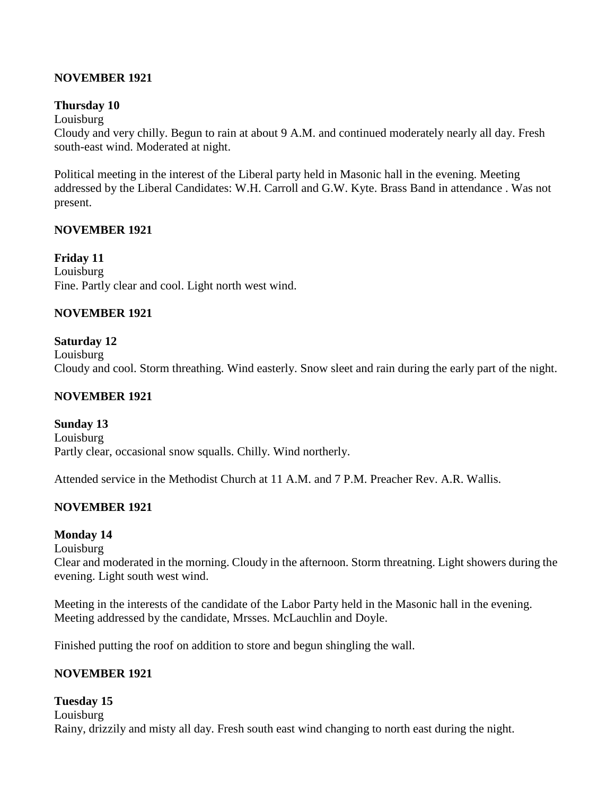### **NOVEMBER 1921**

#### **Thursday 10**

#### Louisburg

Cloudy and very chilly. Begun to rain at about 9 A.M. and continued moderately nearly all day. Fresh south-east wind. Moderated at night.

Political meeting in the interest of the Liberal party held in Masonic hall in the evening. Meeting addressed by the Liberal Candidates: W.H. Carroll and G.W. Kyte. Brass Band in attendance . Was not present.

#### **NOVEMBER 1921**

**Friday 11** Louisburg Fine. Partly clear and cool. Light north west wind.

#### **NOVEMBER 1921**

#### **Saturday 12**

Louisburg Cloudy and cool. Storm threathing. Wind easterly. Snow sleet and rain during the early part of the night.

#### **NOVEMBER 1921**

**Sunday 13** Louisburg Partly clear, occasional snow squalls. Chilly. Wind northerly.

Attended service in the Methodist Church at 11 A.M. and 7 P.M. Preacher Rev. A.R. Wallis.

### **NOVEMBER 1921**

#### **Monday 14**

Louisburg

Clear and moderated in the morning. Cloudy in the afternoon. Storm threatning. Light showers during the evening. Light south west wind.

Meeting in the interests of the candidate of the Labor Party held in the Masonic hall in the evening. Meeting addressed by the candidate, Mrsses. McLauchlin and Doyle.

Finished putting the roof on addition to store and begun shingling the wall.

### **NOVEMBER 1921**

**Tuesday 15** Louisburg Rainy, drizzily and misty all day. Fresh south east wind changing to north east during the night.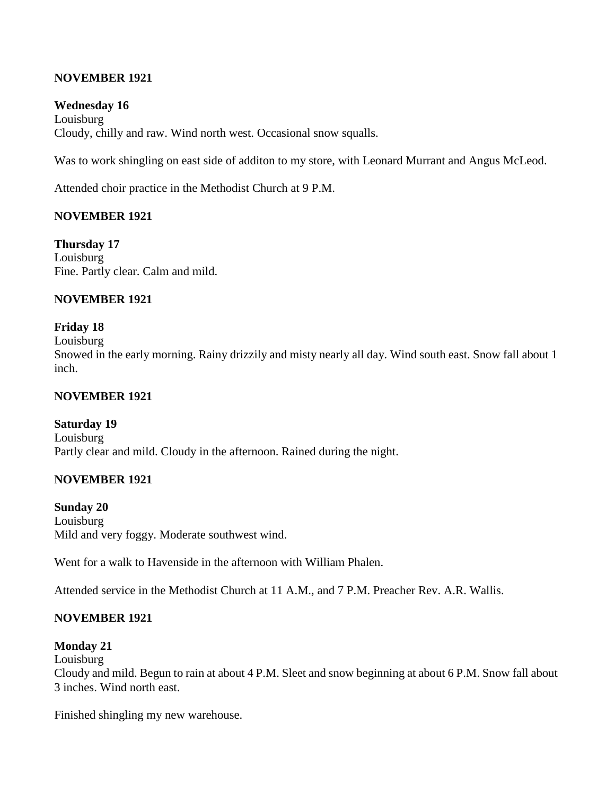### **NOVEMBER 1921**

#### **Wednesday 16**

Louisburg Cloudy, chilly and raw. Wind north west. Occasional snow squalls.

Was to work shingling on east side of additon to my store, with Leonard Murrant and Angus McLeod.

Attended choir practice in the Methodist Church at 9 P.M.

#### **NOVEMBER 1921**

**Thursday 17** Louisburg Fine. Partly clear. Calm and mild.

#### **NOVEMBER 1921**

#### **Friday 18**

Louisburg

Snowed in the early morning. Rainy drizzily and misty nearly all day. Wind south east. Snow fall about 1 inch.

#### **NOVEMBER 1921**

**Saturday 19** Louisburg Partly clear and mild. Cloudy in the afternoon. Rained during the night.

#### **NOVEMBER 1921**

**Sunday 20** Louisburg Mild and very foggy. Moderate southwest wind.

Went for a walk to Havenside in the afternoon with William Phalen.

Attended service in the Methodist Church at 11 A.M., and 7 P.M. Preacher Rev. A.R. Wallis.

#### **NOVEMBER 1921**

#### **Monday 21**

Louisburg Cloudy and mild. Begun to rain at about 4 P.M. Sleet and snow beginning at about 6 P.M. Snow fall about 3 inches. Wind north east.

Finished shingling my new warehouse.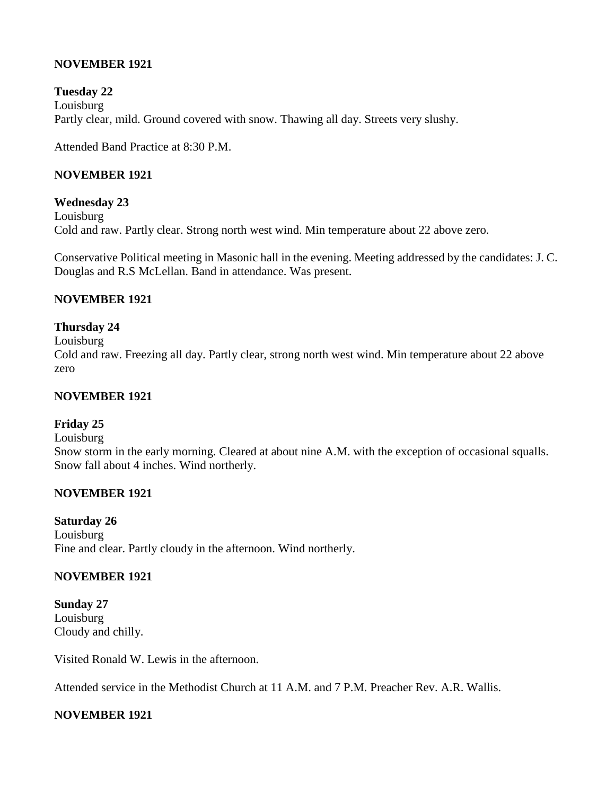### **NOVEMBER 1921**

**Tuesday 22** Louisburg Partly clear, mild. Ground covered with snow. Thawing all day. Streets very slushy.

Attended Band Practice at 8:30 P.M.

### **NOVEMBER 1921**

**Wednesday 23** Louisburg Cold and raw. Partly clear. Strong north west wind. Min temperature about 22 above zero.

Conservative Political meeting in Masonic hall in the evening. Meeting addressed by the candidates: J. C. Douglas and R.S McLellan. Band in attendance. Was present.

#### **NOVEMBER 1921**

#### **Thursday 24**

Louisburg

Cold and raw. Freezing all day. Partly clear, strong north west wind. Min temperature about 22 above zero

#### **NOVEMBER 1921**

#### **Friday 25**

Louisburg

Snow storm in the early morning. Cleared at about nine A.M. with the exception of occasional squalls. Snow fall about 4 inches. Wind northerly.

#### **NOVEMBER 1921**

**Saturday 26** Louisburg Fine and clear. Partly cloudy in the afternoon. Wind northerly.

# **NOVEMBER 1921**

**Sunday 27** Louisburg Cloudy and chilly.

Visited Ronald W. Lewis in the afternoon.

Attended service in the Methodist Church at 11 A.M. and 7 P.M. Preacher Rev. A.R. Wallis.

# **NOVEMBER 1921**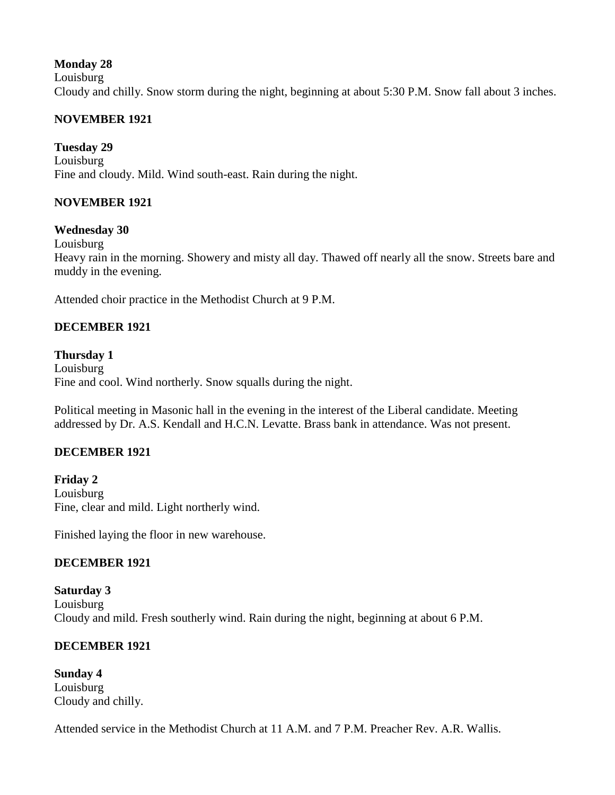### **Monday 28**

Louisburg

Cloudy and chilly. Snow storm during the night, beginning at about 5:30 P.M. Snow fall about 3 inches.

### **NOVEMBER 1921**

### **Tuesday 29**

Louisburg Fine and cloudy. Mild. Wind south-east. Rain during the night.

### **NOVEMBER 1921**

### **Wednesday 30**

Louisburg

Heavy rain in the morning. Showery and misty all day. Thawed off nearly all the snow. Streets bare and muddy in the evening.

Attended choir practice in the Methodist Church at 9 P.M.

### **DECEMBER 1921**

#### **Thursday 1**

Louisburg Fine and cool. Wind northerly. Snow squalls during the night.

Political meeting in Masonic hall in the evening in the interest of the Liberal candidate. Meeting addressed by Dr. A.S. Kendall and H.C.N. Levatte. Brass bank in attendance. Was not present.

### **DECEMBER 1921**

**Friday 2** Louisburg Fine, clear and mild. Light northerly wind.

Finished laying the floor in new warehouse.

### **DECEMBER 1921**

**Saturday 3** Louisburg Cloudy and mild. Fresh southerly wind. Rain during the night, beginning at about 6 P.M.

# **DECEMBER 1921**

**Sunday 4** Louisburg Cloudy and chilly.

Attended service in the Methodist Church at 11 A.M. and 7 P.M. Preacher Rev. A.R. Wallis.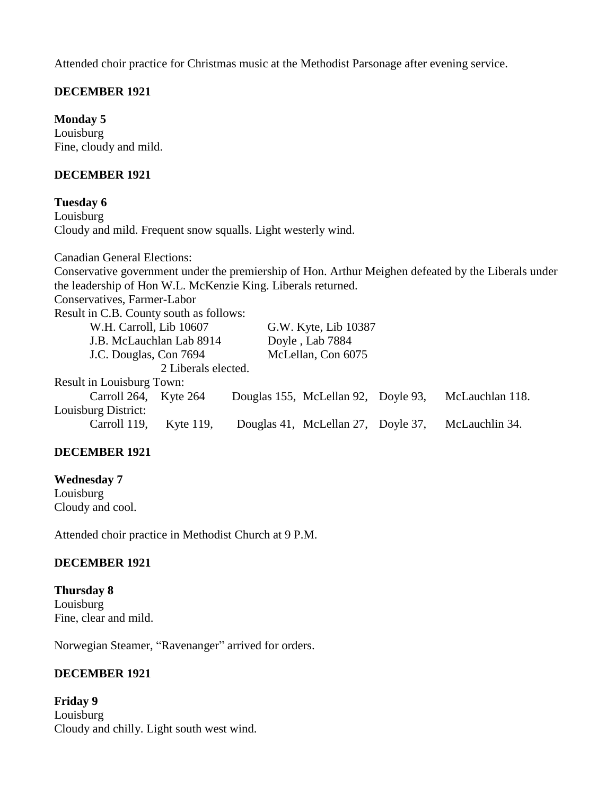Attended choir practice for Christmas music at the Methodist Parsonage after evening service.

### **DECEMBER 1921**

**Monday 5**

Louisburg Fine, cloudy and mild.

#### **DECEMBER 1921**

**Tuesday 6**

Louisburg Cloudy and mild. Frequent snow squalls. Light westerly wind.

Canadian General Elections: Conservative government under the premiership of Hon. Arthur Meighen defeated by the Liberals under the leadership of Hon W.L. McKenzie King. Liberals returned. Conservatives, Farmer-Labor Result in C.B. County south as follows: W.H. Carroll, Lib 10607 G.W. Kyte, Lib 10387 J.B. McLauchlan Lab 8914 Doyle , Lab 7884 J.C. Douglas, Con 7694 McLellan, Con 6075 2 Liberals elected. Result in Louisburg Town: Carroll 264, Kyte 264 Douglas 155, McLellan 92, Doyle 93, McLauchlan 118. Louisburg District: Carroll 119, Kyte 119, Douglas 41, McLellan 27, Doyle 37, McLauchlin 34.

### **DECEMBER 1921**

**Wednesday 7** Louisburg Cloudy and cool.

Attended choir practice in Methodist Church at 9 P.M.

### **DECEMBER 1921**

**Thursday 8** Louisburg Fine, clear and mild.

Norwegian Steamer, "Ravenanger" arrived for orders.

### **DECEMBER 1921**

**Friday 9** Louisburg Cloudy and chilly. Light south west wind.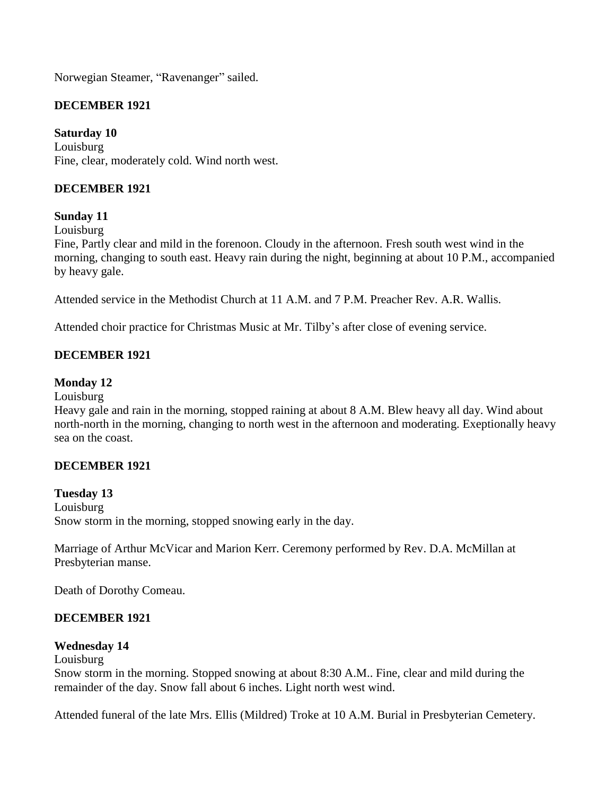Norwegian Steamer, "Ravenanger" sailed.

### **DECEMBER 1921**

### **Saturday 10**

Louisburg Fine, clear, moderately cold. Wind north west.

### **DECEMBER 1921**

#### **Sunday 11**

Louisburg

Fine, Partly clear and mild in the forenoon. Cloudy in the afternoon. Fresh south west wind in the morning, changing to south east. Heavy rain during the night, beginning at about 10 P.M., accompanied by heavy gale.

Attended service in the Methodist Church at 11 A.M. and 7 P.M. Preacher Rev. A.R. Wallis.

Attended choir practice for Christmas Music at Mr. Tilby's after close of evening service.

### **DECEMBER 1921**

#### **Monday 12**

Louisburg

Heavy gale and rain in the morning, stopped raining at about 8 A.M. Blew heavy all day. Wind about north-north in the morning, changing to north west in the afternoon and moderating. Exeptionally heavy sea on the coast.

#### **DECEMBER 1921**

**Tuesday 13** Louisburg Snow storm in the morning, stopped snowing early in the day.

Marriage of Arthur McVicar and Marion Kerr. Ceremony performed by Rev. D.A. McMillan at Presbyterian manse.

Death of Dorothy Comeau.

#### **DECEMBER 1921**

#### **Wednesday 14**

Louisburg

Snow storm in the morning. Stopped snowing at about 8:30 A.M.. Fine, clear and mild during the remainder of the day. Snow fall about 6 inches. Light north west wind.

Attended funeral of the late Mrs. Ellis (Mildred) Troke at 10 A.M. Burial in Presbyterian Cemetery.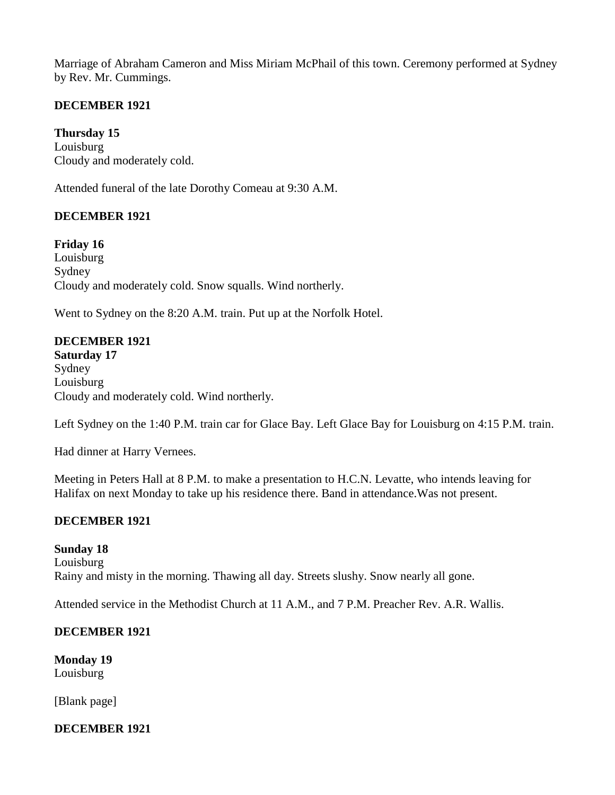Marriage of Abraham Cameron and Miss Miriam McPhail of this town. Ceremony performed at Sydney by Rev. Mr. Cummings.

### **DECEMBER 1921**

**Thursday 15** Louisburg Cloudy and moderately cold.

Attended funeral of the late Dorothy Comeau at 9:30 A.M.

### **DECEMBER 1921**

**Friday 16** Louisburg Sydney Cloudy and moderately cold. Snow squalls. Wind northerly.

Went to Sydney on the 8:20 A.M. train. Put up at the Norfolk Hotel.

#### **DECEMBER 1921**

**Saturday 17** Sydney Louisburg Cloudy and moderately cold. Wind northerly.

Left Sydney on the 1:40 P.M. train car for Glace Bay. Left Glace Bay for Louisburg on 4:15 P.M. train.

Had dinner at Harry Vernees.

Meeting in Peters Hall at 8 P.M. to make a presentation to H.C.N. Levatte, who intends leaving for Halifax on next Monday to take up his residence there. Band in attendance.Was not present.

### **DECEMBER 1921**

**Sunday 18** Louisburg Rainy and misty in the morning. Thawing all day. Streets slushy. Snow nearly all gone.

Attended service in the Methodist Church at 11 A.M., and 7 P.M. Preacher Rev. A.R. Wallis.

### **DECEMBER 1921**

**Monday 19** Louisburg

[Blank page]

# **DECEMBER 1921**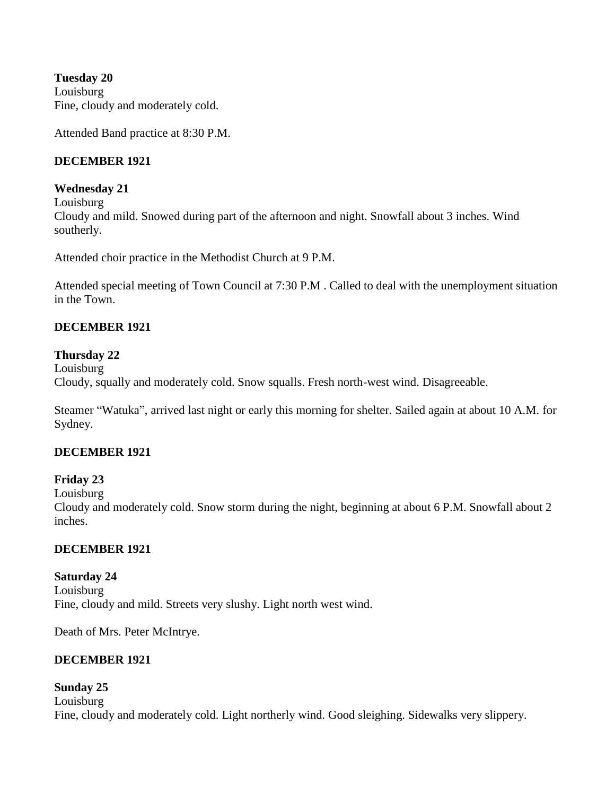**Tuesday 20** Louisburg Fine, cloudy and moderately cold.

Attended Band practice at 8:30 P.M.

### **DECEMBER 1921**

#### **Wednesday 21**

Louisburg

Cloudy and mild. Snowed during part of the afternoon and night. Snowfall about 3 inches. Wind southerly.

Attended choir practice in the Methodist Church at 9 P.M.

Attended special meeting of Town Council at 7:30 P.M . Called to deal with the unemployment situation in the Town.

### **DECEMBER 1921**

#### **Thursday 22**

Louisburg Cloudy, squally and moderately cold. Snow squalls. Fresh north-west wind. Disagreeable.

Steamer "Watuka", arrived last night or early this morning for shelter. Sailed again at about 10 A.M. for Sydney.

### **DECEMBER 1921**

**Friday 23**

Louisburg

Cloudy and moderately cold. Snow storm during the night, beginning at about 6 P.M. Snowfall about 2 inches.

### **DECEMBER 1921**

**Saturday 24** Louisburg Fine, cloudy and mild. Streets very slushy. Light north west wind.

Death of Mrs. Peter McIntrye.

### **DECEMBER 1921**

### **Sunday 25**

Louisburg Fine, cloudy and moderately cold. Light northerly wind. Good sleighing. Sidewalks very slippery.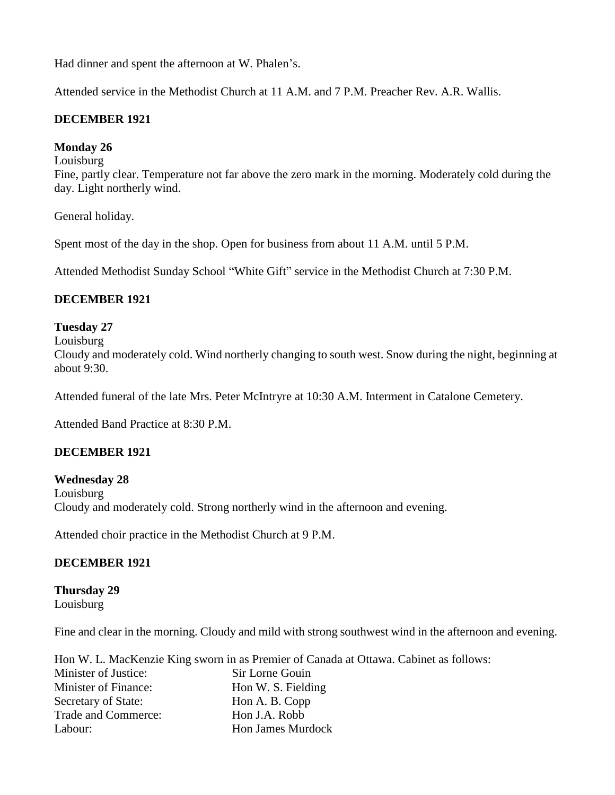Had dinner and spent the afternoon at W. Phalen's.

Attended service in the Methodist Church at 11 A.M. and 7 P.M. Preacher Rev. A.R. Wallis.

### **DECEMBER 1921**

#### **Monday 26**

Louisburg

Fine, partly clear. Temperature not far above the zero mark in the morning. Moderately cold during the day. Light northerly wind.

General holiday.

Spent most of the day in the shop. Open for business from about 11 A.M. until 5 P.M.

Attended Methodist Sunday School "White Gift" service in the Methodist Church at 7:30 P.M.

### **DECEMBER 1921**

#### **Tuesday 27**

Louisburg

Cloudy and moderately cold. Wind northerly changing to south west. Snow during the night, beginning at about 9:30.

Attended funeral of the late Mrs. Peter McIntryre at 10:30 A.M. Interment in Catalone Cemetery.

Attended Band Practice at 8:30 P.M.

### **DECEMBER 1921**

**Wednesday 28** Louisburg Cloudy and moderately cold. Strong northerly wind in the afternoon and evening.

Attended choir practice in the Methodist Church at 9 P.M.

### **DECEMBER 1921**

**Thursday 29** Louisburg

Fine and clear in the morning. Cloudy and mild with strong southwest wind in the afternoon and evening.

|                      | Hon W. L. MacKenzie King sworn in as Premier of Canada at Ottawa. Cabinet as follows: |
|----------------------|---------------------------------------------------------------------------------------|
| Minister of Justice: | Sir Lorne Gouin                                                                       |
| Minister of Finance: | Hon W. S. Fielding                                                                    |
| Secretary of State:  | Hon A. B. Copp                                                                        |
| Trade and Commerce:  | Hon J.A. Robb                                                                         |
| Labour:              | <b>Hon James Murdock</b>                                                              |